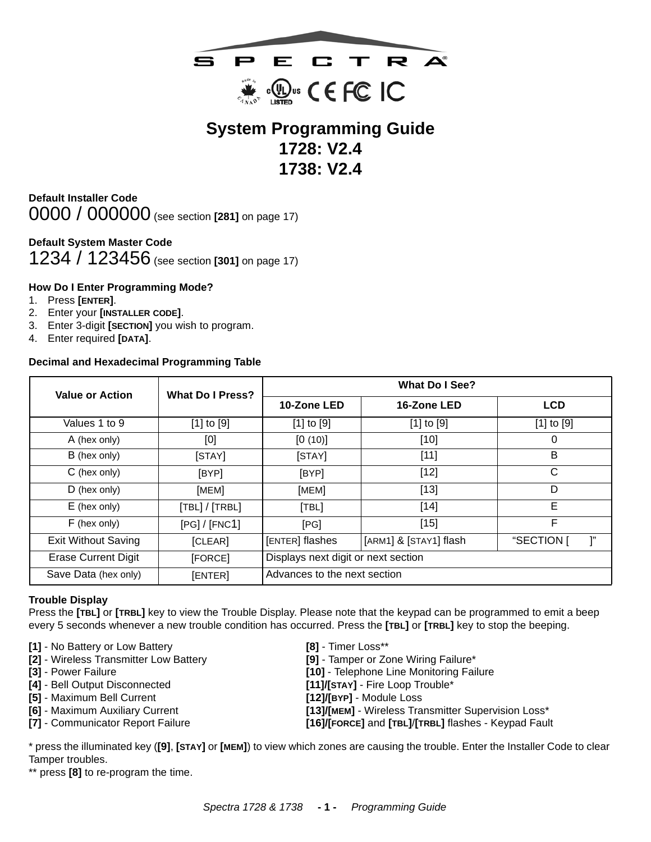

# **System Programming Guide 1728: V2.4 1738: V2.4**

<span id="page-0-0"></span>**Default Installer Code** 0000 / 000000 (see section **[281]** on [page 17](#page-16-0))

# <span id="page-0-1"></span>**Default System Master Code**

1234 / 123456 (see section **[301]** on [page 17](#page-16-0))

#### <span id="page-0-2"></span>**How Do I Enter Programming Mode?**

- 1. Press **[ENTER]**.
- 2. Enter your **[INSTALLER CODE]**.
- 3. Enter 3-digit **[SECTION]** you wish to program.
- 4. Enter required **[DATA]**.

#### <span id="page-0-3"></span>**Decimal and Hexadecimal Programming Table**

| <b>Value or Action</b>     | <b>What Do I Press?</b> | What Do I See?                            |                |                  |  |
|----------------------------|-------------------------|-------------------------------------------|----------------|------------------|--|
|                            |                         | 10-Zone LED                               | 16-Zone LED    | <b>LCD</b>       |  |
| Values 1 to 9              | $[1]$ to $[9]$          | $[1]$ to $[9]$                            | $[1]$ to $[9]$ | $[1]$ to $[9]$   |  |
| A (hex only)               | [0]                     | [0(10)]                                   | $[10]$         | 0                |  |
| B (hex only)               | [STAY]                  | [STAY]                                    | $[11]$         | B                |  |
| C (hex only)               | [BYP]                   | [BYP]                                     | $[12]$         | C                |  |
| $D$ (hex only)             | [MEM]                   | [MEM]                                     | $[13]$         | D                |  |
| $E$ (hex only)             | [TBL]/[TRBL]            | [TBL]                                     | $[14]$         | E                |  |
| F (hex only)               | [PG]/[FNC1]             | [PG]                                      | $[15]$         | F                |  |
| <b>Exit Without Saving</b> | [CLEAR]                 | [ENTER] flashes<br>[ARM1] & [STAY1] flash |                | ľ,<br>"SECTION [ |  |
| <b>Erase Current Digit</b> | [FORCE]                 | Displays next digit or next section       |                |                  |  |
| Save Data (hex only)       | [ENTER]                 | Advances to the next section              |                |                  |  |

#### <span id="page-0-4"></span>**Trouble Display**

Press the **[TBL]** or **[TRBL]** key to view the Trouble Display. Please note that the keypad can be programmed to emit a beep every 5 seconds whenever a new trouble condition has occurred. Press the **[TBL]** or **[TRBL]** key to stop the beeping.

- **[1]** No Battery or Low Battery **[8]** Timer Loss\*\*
- **[2]** Wireless Transmitter Low Battery **[9]** Tamper or Zone Wiring Failure\*
- 
- **[4]** Bell Output Disconnected **[11]/[STAY]** Fire Loop Trouble\*
- 
- 
- 
- 
- 
- **[3]** Power Failure **[10]** Telephone Line Monitoring Failure
	-
- **[5]** Maximum Bell Current **[12]/[BYP]** Module Loss
- **[6]** Maximum Auxiliary Current **[13]/[MEM]** Wireless Transmitter Supervision Loss\*
- **[7]** Communicator Report Failure **[16]/[FORCE]** and **[TBL]**/**[TRBL]** flashes Keypad Fault

\* press the illuminated key (**[9]**, **[STAY]** or **[MEM]**) to view which zones are causing the trouble. Enter the Installer Code to clear Tamper troubles.

\*\* press **[8]** to re-program the time.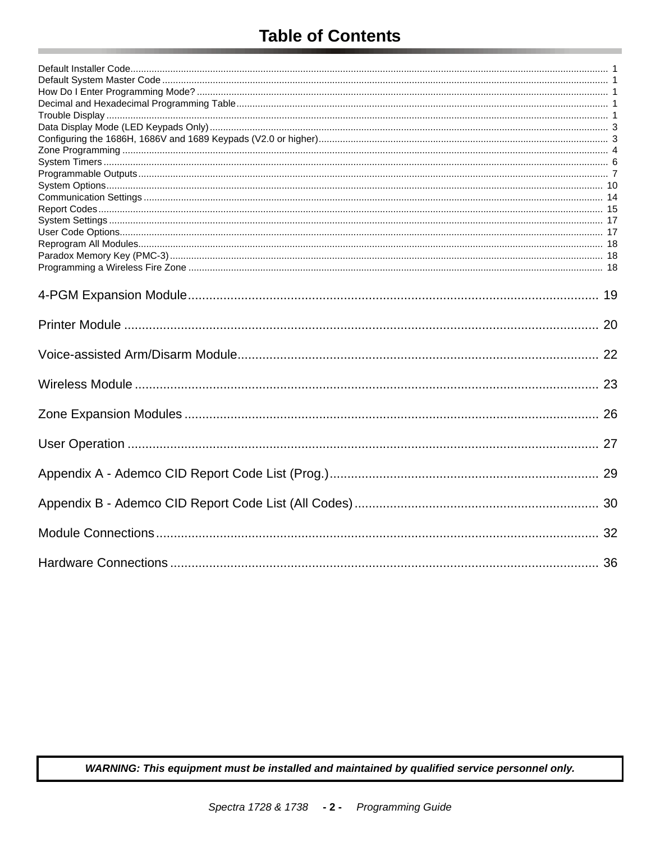# **Table of Contents**

WARNING: This equipment must be installed and maintained by qualified service personnel only.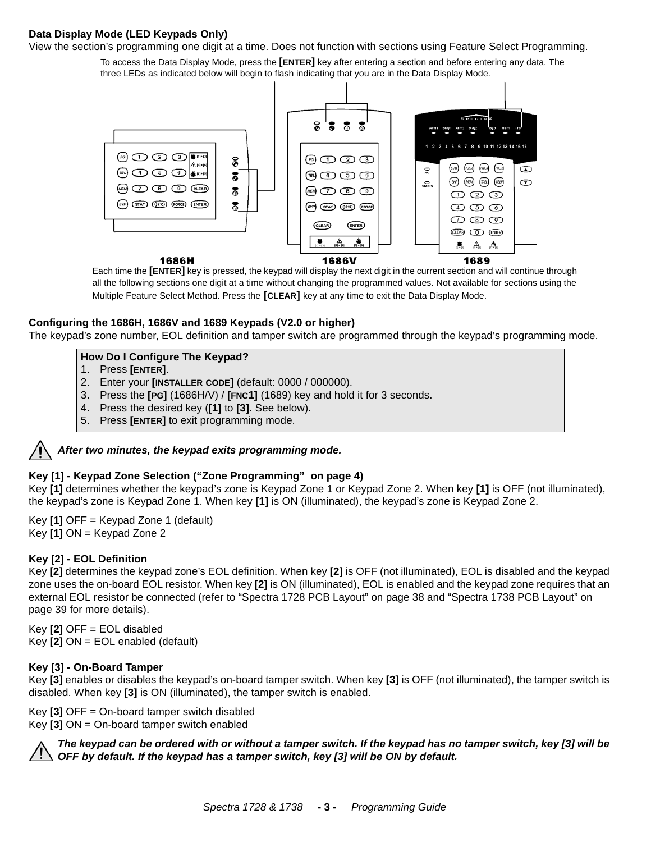#### <span id="page-2-0"></span>**Data Display Mode (LED Keypads Only)**

View the section's programming one digit at a time. Does not function with sections using Feature Select Programming.

To access the Data Display Mode, press the **[ENTER]** key after entering a section and before entering any data. The three LEDs as indicated below will begin to flash indicating that you are in the Data Display Mode.



Each time the **[ENTER]** key is pressed, the keypad will display the next digit in the current section and will continue through all the following sections one digit at a time without changing the programmed values. Not available for sections using the Multiple Feature Select Method. Press the **[CLEAR]** key at any time to exit the Data Display Mode.

#### <span id="page-2-1"></span>**Configuring the 1686H, 1686V and 1689 Keypads (V2.0 or higher)**

The keypad's zone number, EOL definition and tamper switch are programmed through the keypad's programming mode.

#### **How Do I Configure The Keypad?**

- 1. Press **[ENTER]**.
- 2. Enter your **[INSTALLER CODE]** (default: 0000 / 000000).
- 3. Press the **[PG]** (1686H/V) / **[FNC1]** (1689) key and hold it for 3 seconds.
- 4. Press the desired key (**[1]** to **[3]**. See below).
- 5. Press **[ENTER]** to exit programming mode.

# *After two minutes, the keypad exits programming mode.*

#### **Key [1] - Keypad Zone Selection (["Zone Programming"](#page-3-0) on [page 4\)](#page-3-0)**

Key **[1]** determines whether the keypad's zone is Keypad Zone 1 or Keypad Zone 2. When key **[1]** is OFF (not illuminated), the keypad's zone is Keypad Zone 1. When key **[1]** is ON (illuminated), the keypad's zone is Keypad Zone 2.

Key **[1]** OFF = Keypad Zone 1 (default) Key **[1]** ON = Keypad Zone 2

#### **Key [2] - EOL Definition**

Key **[2]** determines the keypad zone's EOL definition. When key **[2]** is OFF (not illuminated), EOL is disabled and the keypad zone uses the on-board EOL resistor. When key **[2]** is ON (illuminated), EOL is enabled and the keypad zone requires that an external EOL resistor be connected (refer to ["Spectra 1728 PCB Layout" on page 38](#page-37-0) and "Spectra 1738 PCB Layout" on page 39 for more details).

Key **[2]** OFF = EOL disabled Key **[2]** ON = EOL enabled (default)

#### **Key [3] - On-Board Tamper**

Key **[3]** enables or disables the keypad's on-board tamper switch. When key **[3]** is OFF (not illuminated), the tamper switch is disabled. When key **[3]** is ON (illuminated), the tamper switch is enabled.

Key **[3]** OFF = On-board tamper switch disabled Key **[3]** ON = On-board tamper switch enabled



*The keypad can be ordered with or without a tamper switch. If the keypad has no tamper switch, key [3] will be OFF by default. If the keypad has a tamper switch, key [3] will be ON by default.*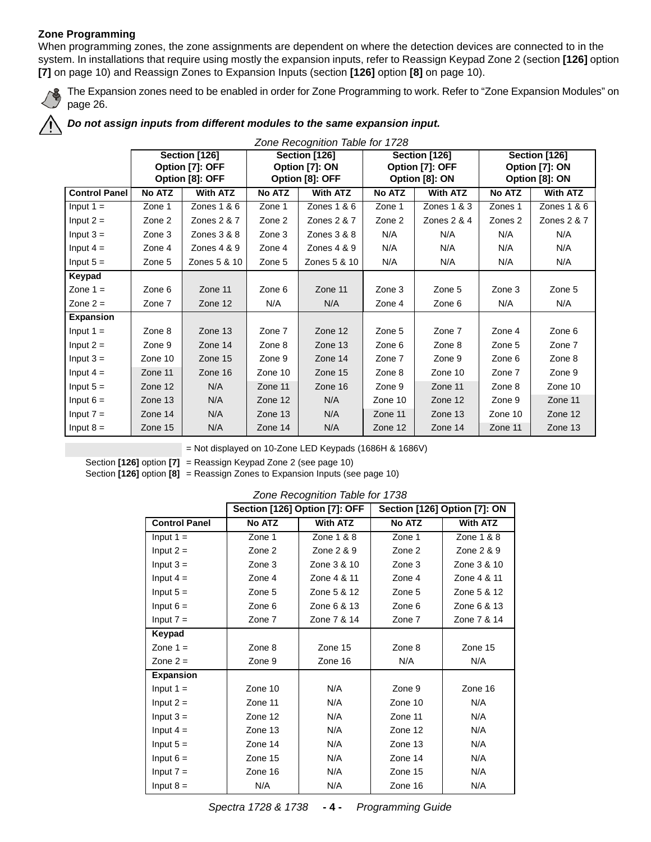### <span id="page-3-0"></span>**Zone Programming**

When programming zones, the zone assignments are dependent on where the detection devices are connected to in the system. In installations that require using mostly the expansion inputs, refer to Reassign Keypad Zone 2 (section **[126]** option **[7]** on [page 10\)](#page-9-1) and Reassign Zones to Expansion Inputs (section **[126]** option **[8]** on [page 10](#page-9-2)).



The Expansion zones need to be enabled in order for Zone Programming to work. Refer to ["Zone Expansion Modules" on](#page-25-0)  [page 26.](#page-25-0)

# *Do not assign inputs from different modules to the same expansion input.*

|                      | Zone Recognition Table for 1728 |                                    |         |                                   |                                   |                 |                                  |                 |  |
|----------------------|---------------------------------|------------------------------------|---------|-----------------------------------|-----------------------------------|-----------------|----------------------------------|-----------------|--|
|                      |                                 | Section [126]                      |         | Section [126]                     |                                   | Section [126]   |                                  | Section [126]   |  |
|                      |                                 | Option [7]: OFF<br>Option [8]: OFF |         | Option [7]: ON<br>Option [8]: OFF | Option [7]: OFF<br>Option [8]: ON |                 | Option [7]: ON<br>Option [8]: ON |                 |  |
|                      |                                 |                                    |         |                                   |                                   |                 |                                  |                 |  |
| <b>Control Panel</b> | No ATZ                          | <b>With ATZ</b>                    | No ATZ  | <b>With ATZ</b>                   | No ATZ                            | <b>With ATZ</b> | <b>No ATZ</b>                    | <b>With ATZ</b> |  |
| Input $1 =$          | Zone 1                          | Zones $1 & 6$                      | Zone 1  | Zones $1 & 6$                     | Zone 1                            | Zones 1 & 3     | Zones 1                          | Zones 1 & 6     |  |
| Input $2 =$          | Zone 2                          | Zones 2 & 7                        | Zone 2  | Zones 2 & 7                       | Zone 2                            | Zones $2 & 4$   | Zones 2                          | Zones 2 & 7     |  |
| Input $3 =$          | Zone 3                          | Zones $3 & 8$                      | Zone 3  | Zones $3 & 8$                     | N/A                               | N/A             | N/A                              | N/A             |  |
| Input $4 =$          | Zone 4                          | Zones $4 & 9$                      | Zone 4  | Zones $4 & 9$                     | N/A                               | N/A             | N/A                              | N/A             |  |
| Input $5 =$          | Zone 5                          | Zones 5 & 10                       | Zone 5  | Zones 5 & 10                      | N/A                               | N/A             | N/A                              | N/A             |  |
| Keypad               |                                 |                                    |         |                                   |                                   |                 |                                  |                 |  |
| Zone $1 =$           | Zone 6                          | Zone 11                            | Zone 6  | Zone 11                           | Zone 3                            | Zone 5          | Zone 3                           | Zone 5          |  |
| Zone $2 =$           | Zone 7                          | Zone 12                            | N/A     | N/A                               | Zone 4                            | Zone 6          | N/A                              | N/A             |  |
| <b>Expansion</b>     |                                 |                                    |         |                                   |                                   |                 |                                  |                 |  |
| Input $1 =$          | Zone 8                          | Zone 13                            | Zone 7  | Zone 12                           | Zone 5                            | Zone 7          | Zone 4                           | Zone 6          |  |
| Input $2 =$          | Zone 9                          | Zone 14                            | Zone 8  | Zone 13                           | Zone 6                            | Zone 8          | Zone 5                           | Zone 7          |  |
| Input $3 =$          | Zone 10                         | Zone 15                            | Zone 9  | Zone 14                           | Zone 7                            | Zone 9          | Zone 6                           | Zone 8          |  |
| Input $4 =$          | Zone 11                         | Zone 16                            | Zone 10 | Zone 15                           | Zone 8                            | Zone 10         | Zone 7                           | Zone 9          |  |
| Input $5 =$          | Zone 12                         | N/A                                | Zone 11 | Zone 16                           | Zone 9                            | Zone 11         | Zone 8                           | Zone 10         |  |
| Input $6 =$          | Zone 13                         | N/A                                | Zone 12 | N/A                               | Zone 10                           | Zone 12         | Zone 9                           | Zone 11         |  |
| Input $7 =$          | Zone 14                         | N/A                                | Zone 13 | N/A                               | Zone 11                           | Zone 13         | Zone 10                          | Zone 12         |  |
| Input $8 =$          | Zone 15                         | N/A                                | Zone 14 | N/A                               | Zone 12                           | Zone 14         | Zone 11                          | Zone 13         |  |

= Not displayed on 10-Zone LED Keypads (1686H & 1686V)

Section **[126]** option **[7]** = Reassign Keypad Zone 2 (see [page 10\)](#page-9-1)

<span id="page-3-1"></span>Section **[126]** option **[8]** = Reassign Zones to Expansion Inputs (see [page 10\)](#page-9-2)

*Zone Recognition Table for 1738*

|                      |         | Section [126] Option [7]: OFF | Section [126] Option [7]: ON |                 |
|----------------------|---------|-------------------------------|------------------------------|-----------------|
| <b>Control Panel</b> | No ATZ  | <b>With ATZ</b>               | No ATZ                       | <b>With ATZ</b> |
| Input $1 =$          | Zone 1  | Zone 1 & 8                    | Zone 1                       | Zone 1 & 8      |
| Input $2 =$          | Zone 2  | Zone 2 & 9                    | Zone 2                       | Zone 2 & 9      |
| Input $3 =$          | Zone 3  | Zone 3 & 10                   | Zone 3                       | Zone 3 & 10     |
| Input $4 =$          | Zone 4  | Zone 4 & 11                   | Zone 4                       | Zone 4 & 11     |
| Input $5 =$          | Zone 5  | Zone 5 & 12                   | Zone 5                       | Zone 5 & 12     |
| Input $6 =$          | Zone 6  | Zone 6 & 13                   | Zone 6                       | Zone 6 & 13     |
| Input $7 =$          | Zone 7  | Zone 7 & 14                   | Zone 7                       | Zone 7 & 14     |
| Keypad               |         |                               |                              |                 |
| Zone $1 =$           | Zone 8  | Zone 15                       | Zone 8                       | Zone 15         |
| Zone $2 =$           | Zone 9  | Zone 16                       | N/A                          | N/A             |
| <b>Expansion</b>     |         |                               |                              |                 |
| Input $1 =$          | Zone 10 | N/A                           | Zone 9                       | Zone 16         |
| Input $2 =$          | Zone 11 | N/A                           | Zone 10                      | N/A             |
| Input $3 =$          | Zone 12 | N/A                           | Zone 11                      | N/A             |
| Input $4 =$          | Zone 13 | N/A                           | Zone 12                      | N/A             |
| Input $5 =$          | Zone 14 | N/A                           | Zone 13                      | N/A             |
| Input $6 =$          | Zone 15 | N/A                           | Zone 14                      | N/A             |
| Input $7 =$          | Zone 16 | N/A                           | Zone 15                      | N/A             |
| Input $8 =$          | N/A     | N/A                           | Zone 16                      | N/A             |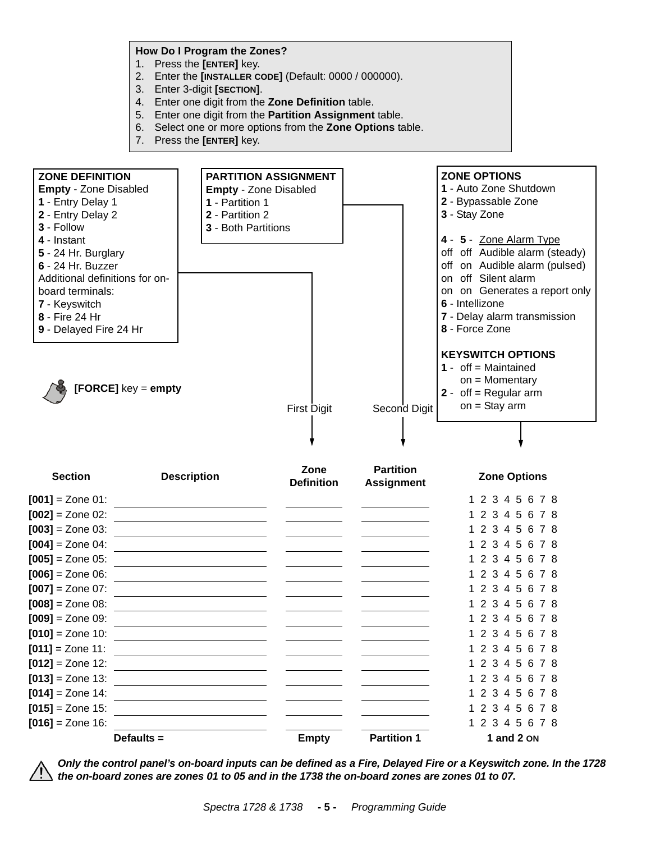**How Do I Program the Zones?**

- 1. Press the **[ENTER]** key.
- 2. Enter the **[INSTALLER CODE]** (Default: 0000 / 000000).
- 3. Enter 3-digit **[SECTION]**.
- 4. Enter one digit from the **Zone Definition** table.
- 5. Enter one digit from the **Partition Assignment** table.
- 6. Select one or more options from the **Zone Options** table.
- 7. Press the **[ENTER]** key.



*Only the control panel's on-board inputs can be defined as a Fire, Delayed Fire or a Keyswitch zone. In the 1728 the on-board zones are zones 01 to 05 and in the 1738 the on-board zones are zones 01 to 07.* 

**Defaults = The Empty** Partition 1 and 2 on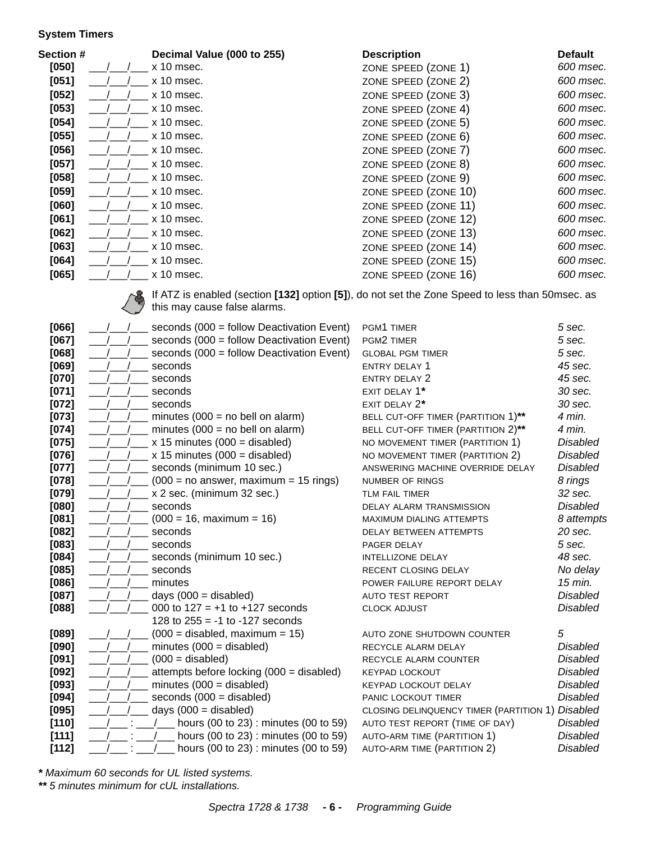#### <span id="page-5-0"></span>**System Timers**

| <b>Section #</b> | Decimal Value (000 to 255) | <b>Description</b>   | <b>Default</b> |
|------------------|----------------------------|----------------------|----------------|
| $[050]$          | x 10 msec.                 | ZONE SPEED (ZONE 1)  | 600 msec.      |
| $[051]$          | $x$ 10 msec.               | ZONE SPEED (ZONE 2)  | 600 msec.      |
| $[052]$          | $x$ 10 msec.               | ZONE SPEED (ZONE 3)  | 600 msec.      |
| $[053]$          | $x$ 10 msec.               | ZONE SPEED (ZONE 4)  | 600 msec.      |
| $[054]$          | x 10 msec.                 | ZONE SPEED (ZONE 5)  | 600 msec.      |
| $[055]$          | x 10 msec.                 | ZONE SPEED (ZONE 6)  | 600 msec.      |
| $[056]$          | $x$ 10 msec.               | ZONE SPEED (ZONE 7)  | 600 msec.      |
| $[057]$          | x 10 msec.                 | ZONE SPEED (ZONE 8)  | 600 msec.      |
| $[058]$          | x 10 msec.                 | ZONE SPEED (ZONE 9)  | 600 msec.      |
| $[059]$          | x 10 msec.                 | ZONE SPEED (ZONE 10) | 600 msec.      |
| [060]            | x 10 msec.                 | ZONE SPEED (ZONE 11) | 600 msec.      |
| [061]            | $x$ 10 msec.               | ZONE SPEED (ZONE 12) | 600 msec.      |
| [062]            | $x$ 10 msec.               | ZONE SPEED (ZONE 13) | 600 msec.      |
| [063]            | $x$ 10 msec.               | ZONE SPEED (ZONE 14) | 600 msec.      |
| [064]            | x 10 msec.                 | ZONE SPEED (ZONE 15) | 600 msec.      |
| [065]            | x 10 msec.                 | ZONE SPEED (ZONE 16) | 600 msec.      |



If ATZ is enabled (section **[132]** option **[5]**), do not set the Zone Speed to less than 50msec. as this may cause false alarms.

| [066]   | seconds (000 = follow Deactivation Event) | PGM1 TIMER                                       | 5 sec.          |
|---------|-------------------------------------------|--------------------------------------------------|-----------------|
| $[067]$ | seconds (000 = follow Deactivation Event) | PGM2 TIMER                                       | 5 sec.          |
| [068]   | seconds (000 = follow Deactivation Event) | <b>GLOBAL PGM TIMER</b>                          | 5 sec.          |
| [069]   | seconds                                   | <b>ENTRY DELAY 1</b>                             | 45 sec.         |
| $[070]$ | seconds                                   | <b>ENTRY DELAY 2</b>                             | 45 sec.         |
| $[071]$ | seconds                                   | EXIT DELAY 1*                                    | 30 sec.         |
| $[072]$ | seconds                                   | EXIT DELAY 2*                                    | 30 sec.         |
| $[073]$ | minutes $(000 = no$ bell on alarm)        | BELL CUT-OFF TIMER (PARTITION 1)**               | 4 min.          |
| $[074]$ | minutes $(000 = no$ bell on alarm)        | BELL CUT-OFF TIMER (PARTITION 2)**               | 4 min.          |
| $[075]$ | x 15 minutes $(000 = \text{disabeled})$   | NO MOVEMENT TIMER (PARTITION 1)                  | Disabled        |
| [076]   | x 15 minutes $(000 = \text{disabeled})$   | NO MOVEMENT TIMER (PARTITION 2)                  | <b>Disabled</b> |
| $[077]$ | seconds (minimum 10 sec.)                 | ANSWERING MACHINE OVERRIDE DELAY                 | <b>Disabled</b> |
| $[078]$ | $(000 = no answer, maximum = 15 rings)$   | <b>NUMBER OF RINGS</b>                           | 8 rings         |
| $[079]$ | x 2 sec. (minimum 32 sec.)                | TLM FAIL TIMER                                   | 32 sec.         |
| [080]   | seconds                                   | <b>DELAY ALARM TRANSMISSION</b>                  | <b>Disabled</b> |
| [081]   | $(000 = 16,$ maximum = 16)                | MAXIMUM DIALING ATTEMPTS                         | 8 attempts      |
| [082]   | seconds                                   | DELAY BETWEEN ATTEMPTS                           | 20 sec.         |
| [083]   | seconds                                   | PAGER DELAY                                      | 5 sec.          |
| [084]   | seconds (minimum 10 sec.)                 | INTELLIZONE DELAY                                | 48 sec.         |
| [085]   | seconds                                   | RECENT CLOSING DELAY                             | No delay        |
| [086]   | minutes                                   | POWER FAILURE REPORT DELAY                       | 15 min.         |
| $[087]$ | days $(000 =$ disabled)                   | <b>AUTO TEST REPORT</b>                          | <b>Disabled</b> |
| [088]   | 000 to $127 = +1$ to $+127$ seconds       | <b>CLOCK ADJUST</b>                              | Disabled        |
|         | 128 to $255 = -1$ to $-127$ seconds       |                                                  |                 |
| $[089]$ | $(000 =$ disabled, maximum = 15)          | AUTO ZONE SHUTDOWN COUNTER                       | 5               |
| [090]   | minutes $(000 = \text{disabeled})$        | RECYCLE ALARM DELAY                              | <b>Disabled</b> |
| [091]   | $(000 = \text{disabled})$                 | RECYCLE ALARM COUNTER                            | <b>Disabled</b> |
| $[092]$ | attempts before locking (000 = disabled)  | <b>KEYPAD LOCKOUT</b>                            | <b>Disabled</b> |
| [093]   | minutes $(000 = \text{disabeled})$        | KEYPAD LOCKOUT DELAY                             | <b>Disabled</b> |
| $[094]$ | seconds $(000 = \text{disabeled})$        | PANIC LOCKOUT TIMER                              | Disabled        |
| [095]   | days $(000 =$ disabled)                   | CLOSING DELINQUENCY TIMER (PARTITION 1) Disabled |                 |
| $[110]$ | hours (00 to 23): minutes (00 to 59)      | AUTO TEST REPORT (TIME OF DAY)                   | <b>Disabled</b> |
| [111]   | hours (00 to 23): minutes (00 to 59)      | AUTO-ARM TIME (PARTITION 1)                      | <b>Disabled</b> |
| [112]   | hours (00 to 23): minutes (00 to 59)      | <b>AUTO-ARM TIME (PARTITION 2)</b>               | Disabled        |

*\* Maximum 60 seconds for UL listed systems.*

*\*\* 5 minutes minimum for cUL installations.*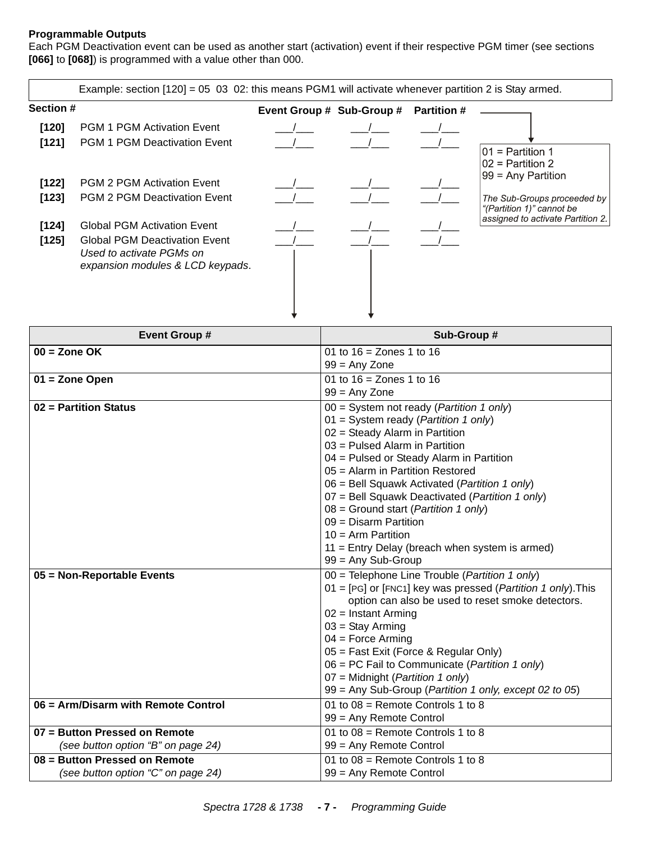# <span id="page-6-0"></span>**Programmable Outputs**

Each PGM Deactivation event can be used as another start (activation) event if their respective PGM timer (see sections **[066]** to **[068]**) is programmed with a value other than 000.

|                                    | Example: section $[120] = 05$ 03 02: this means PGM1 will activate whenever partition 2 is Stay armed.                                               |                           |                    |                                                                                                                                                                  |
|------------------------------------|------------------------------------------------------------------------------------------------------------------------------------------------------|---------------------------|--------------------|------------------------------------------------------------------------------------------------------------------------------------------------------------------|
| Section #                          |                                                                                                                                                      | Event Group # Sub-Group # | <b>Partition #</b> |                                                                                                                                                                  |
| $[120]$<br>[121]<br>[122]<br>[123] | <b>PGM 1 PGM Activation Event</b><br><b>PGM 1 PGM Deactivation Event</b><br><b>PGM 2 PGM Activation Event</b><br><b>PGM 2 PGM Deactivation Event</b> |                           |                    | $ 01$ = Partition 1<br>$02$ = Partition 2<br>99 = Any Partition<br>The Sub-Groups proceeded by<br>"(Partition 1)" cannot be<br>assigned to activate Partition 2. |
| $[124]$<br>[125]                   | <b>Global PGM Activation Event</b><br><b>Global PGM Deactivation Event</b><br>Used to activate PGMs on<br>expansion modules & LCD keypads.           |                           |                    |                                                                                                                                                                  |

| <b>Event Group #</b>                | Sub-Group #                                                  |
|-------------------------------------|--------------------------------------------------------------|
| $00 =$ Zone OK                      | 01 to $16 =$ Zones 1 to $16$                                 |
|                                     | $99 = Any$ Zone                                              |
| 01 = Zone Open                      | 01 to $16 =$ Zones 1 to $16$                                 |
|                                     | $99 = Any Zone$                                              |
| 02 = Partition Status               | $00 =$ System not ready ( <i>Partition 1 only</i> )          |
|                                     | $01 = System$ ready ( <i>Partition 1 only</i> )              |
|                                     | 02 = Steady Alarm in Partition                               |
|                                     | 03 = Pulsed Alarm in Partition                               |
|                                     | 04 = Pulsed or Steady Alarm in Partition                     |
|                                     | 05 = Alarm in Partition Restored                             |
|                                     | 06 = Bell Squawk Activated (Partition 1 only)                |
|                                     | 07 = Bell Squawk Deactivated (Partition 1 only)              |
|                                     | $08 =$ Ground start (Partition 1 only)                       |
|                                     | $09 =$ Disarm Partition                                      |
|                                     | $10 =$ Arm Partition                                         |
|                                     | $11$ = Entry Delay (breach when system is armed)             |
|                                     | $99 = Any Sub-Group$                                         |
| 05 = Non-Reportable Events          | 00 = Telephone Line Trouble (Partition 1 only)               |
|                                     | 01 = [PG] or [FNC1] key was pressed (Partition 1 only). This |
|                                     | option can also be used to reset smoke detectors.            |
|                                     | $02$ = Instant Arming                                        |
|                                     | $03 =$ Stay Arming                                           |
|                                     | $04$ = Force Arming                                          |
|                                     | 05 = Fast Exit (Force & Regular Only)                        |
|                                     | 06 = PC Fail to Communicate (Partition 1 only)               |
|                                     | 07 = Midnight ( <i>Partition 1 only</i> )                    |
|                                     | 99 = Any Sub-Group (Partition 1 only, except 02 to 05)       |
| 06 = Arm/Disarm with Remote Control | 01 to $08$ = Remote Controls 1 to 8                          |
|                                     | 99 = Any Remote Control                                      |
| 07 = Button Pressed on Remote       | 01 to $08$ = Remote Controls 1 to 8                          |
| (see button option "B" on page 24)  | 99 = Any Remote Control                                      |
| 08 = Button Pressed on Remote       | 01 to $08$ = Remote Controls 1 to 8                          |
| (see button option "C" on page 24)  | 99 = Any Remote Control                                      |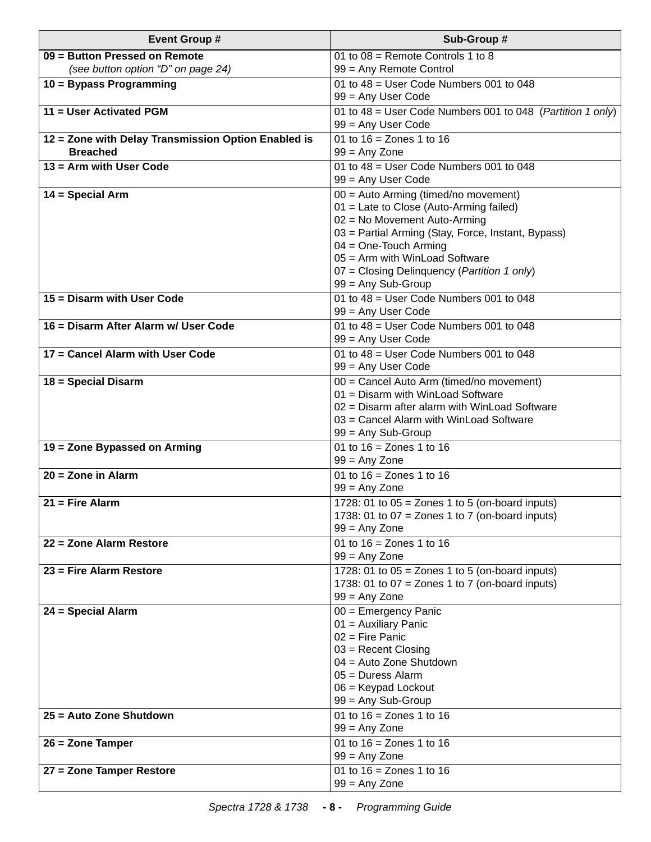| <b>Event Group #</b>                                                | Sub-Group #                                                                                            |
|---------------------------------------------------------------------|--------------------------------------------------------------------------------------------------------|
| 09 = Button Pressed on Remote<br>(see button option "D" on page 24) | 01 to $08$ = Remote Controls 1 to 8<br>99 = Any Remote Control                                         |
| 10 = Bypass Programming                                             | 01 to $48$ = User Code Numbers 001 to 048                                                              |
| 11 = User Activated PGM                                             | 99 = Any User Code<br>01 to 48 = User Code Numbers 001 to 048 (Partition 1 only)<br>99 = Any User Code |
| 12 = Zone with Delay Transmission Option Enabled is                 | 01 to $16 =$ Zones 1 to $16$                                                                           |
| <b>Breached</b>                                                     | $99 = Any Zone$                                                                                        |
| 13 = Arm with User Code                                             | 01 to $48$ = User Code Numbers 001 to 048<br>99 = Any User Code                                        |
| $14 = Special Arm$                                                  | 00 = Auto Arming (timed/no movement)                                                                   |
|                                                                     | 01 = Late to Close (Auto-Arming failed)                                                                |
|                                                                     | 02 = No Movement Auto-Arming                                                                           |
|                                                                     | 03 = Partial Arming (Stay, Force, Instant, Bypass)<br>$04 = One$ -Touch Arming                         |
|                                                                     | $05 =$ Arm with WinLoad Software                                                                       |
|                                                                     | 07 = Closing Delinquency (Partition 1 only)                                                            |
|                                                                     | $99 = Any Sub-Group$                                                                                   |
| 15 = Disarm with User Code                                          | 01 to $48$ = User Code Numbers 001 to 048                                                              |
|                                                                     | 99 = Any User Code                                                                                     |
| 16 = Disarm After Alarm w/ User Code                                | 01 to $48$ = User Code Numbers 001 to 048                                                              |
|                                                                     | 99 = Any User Code                                                                                     |
| 17 = Cancel Alarm with User Code                                    | 01 to $48$ = User Code Numbers 001 to 048                                                              |
|                                                                     | 99 = Any User Code                                                                                     |
| 18 = Special Disarm                                                 | 00 = Cancel Auto Arm (timed/no movement)                                                               |
|                                                                     | 01 = Disarm with WinLoad Software                                                                      |
|                                                                     | $02$ = Disarm after alarm with WinLoad Software                                                        |
|                                                                     | 03 = Cancel Alarm with WinLoad Software<br>$99 = Any Sub-Group$                                        |
| 19 = Zone Bypassed on Arming                                        | 01 to $16 =$ Zones 1 to $16$                                                                           |
|                                                                     | $99 = Any$ Zone                                                                                        |
| $20 =$ Zone in Alarm                                                | 01 to $16 =$ Zones 1 to $16$                                                                           |
|                                                                     | $99 = Any$ Zone                                                                                        |
| $21 =$ Fire Alarm                                                   | 1728: 01 to $05 =$ Zones 1 to 5 (on-board inputs)                                                      |
|                                                                     | 1738: 01 to $07 =$ Zones 1 to 7 (on-board inputs)                                                      |
|                                                                     | $99 = Any Zone$                                                                                        |
| 22 = Zone Alarm Restore                                             | 01 to $16 =$ Zones 1 to $16$                                                                           |
|                                                                     | $99 = Any$ Zone                                                                                        |
| $23$ = Fire Alarm Restore                                           | 1728: 01 to $05 =$ Zones 1 to 5 (on-board inputs)                                                      |
|                                                                     | 1738: 01 to $07 =$ Zones 1 to 7 (on-board inputs)                                                      |
|                                                                     | $99 = Any Zone$                                                                                        |
| 24 = Special Alarm                                                  | 00 = Emergency Panic                                                                                   |
|                                                                     | 01 = Auxiliary Panic<br>$02$ = Fire Panic                                                              |
|                                                                     | $03$ = Recent Closing                                                                                  |
|                                                                     | 04 = Auto Zone Shutdown                                                                                |
|                                                                     | $05 = DuresS$ Alarm                                                                                    |
|                                                                     | $06$ = Keypad Lockout                                                                                  |
|                                                                     | $99 = Any Sub-Group$                                                                                   |
| 25 = Auto Zone Shutdown                                             | 01 to $16 =$ Zones 1 to $16$                                                                           |
|                                                                     | $99 = Any$ Zone                                                                                        |
| 26 = Zone Tamper                                                    | 01 to $16 =$ Zones 1 to $16$                                                                           |
|                                                                     | $99 = Any Zone$                                                                                        |
| 27 = Zone Tamper Restore                                            | 01 to $16 =$ Zones 1 to $16$                                                                           |
|                                                                     | $99 = Any$ Zone                                                                                        |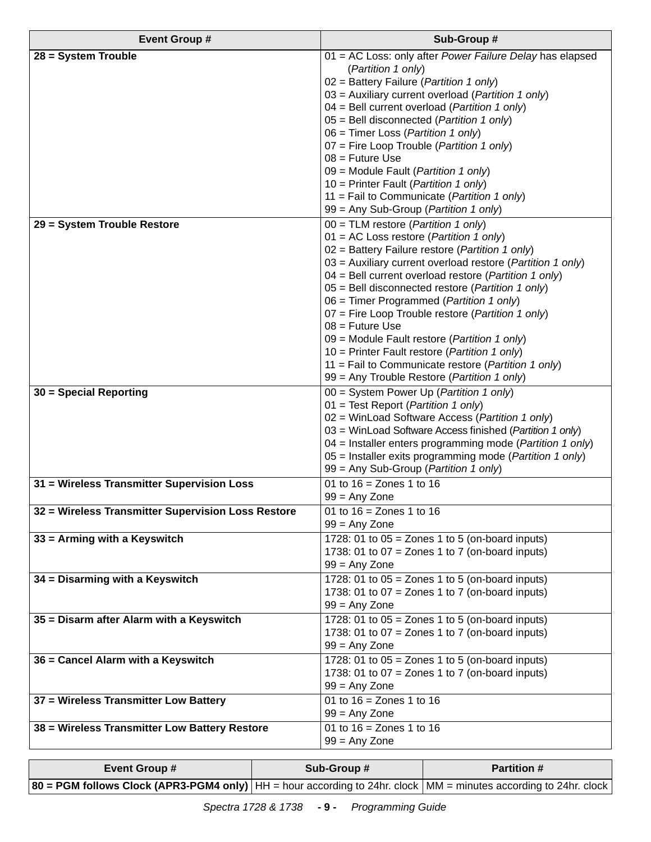| <b>Event Group #</b>                               | Sub-Group #                                                                                                                                                                                                                                                                                                                                                                                                                                                                                                                                                                                                                                                        |
|----------------------------------------------------|--------------------------------------------------------------------------------------------------------------------------------------------------------------------------------------------------------------------------------------------------------------------------------------------------------------------------------------------------------------------------------------------------------------------------------------------------------------------------------------------------------------------------------------------------------------------------------------------------------------------------------------------------------------------|
| 28 = System Trouble                                | 01 = AC Loss: only after Power Failure Delay has elapsed<br>(Partition 1 only)<br>02 = Battery Failure (Partition 1 only)<br>03 = Auxiliary current overload (Partition 1 only)<br>04 = Bell current overload (Partition 1 only)                                                                                                                                                                                                                                                                                                                                                                                                                                   |
|                                                    | 05 = Bell disconnected (Partition 1 only)<br>06 = Timer Loss (Partition 1 only)<br>07 = Fire Loop Trouble (Partition 1 only)<br>$08$ = Future Use<br>09 = Module Fault (Partition 1 only)                                                                                                                                                                                                                                                                                                                                                                                                                                                                          |
|                                                    | 10 = Printer Fault (Partition 1 only)<br>11 = Fail to Communicate (Partition 1 only)<br>99 = Any Sub-Group (Partition 1 only)                                                                                                                                                                                                                                                                                                                                                                                                                                                                                                                                      |
| 29 = System Trouble Restore                        | $00 = TLM$ restore ( <i>Partition 1 only</i> )<br>$01 = AC$ Loss restore ( <i>Partition 1 only</i> )<br>02 = Battery Failure restore (Partition 1 only)<br>03 = Auxiliary current overload restore (Partition 1 only)<br>$04$ = Bell current overload restore (Partition 1 only)<br>05 = Bell disconnected restore (Partition 1 only)<br>06 = Timer Programmed (Partition 1 only)<br>07 = Fire Loop Trouble restore (Partition 1 only)<br>$08$ = Future Use<br>09 = Module Fault restore (Partition 1 only)<br>10 = Printer Fault restore (Partition 1 only)<br>11 = Fail to Communicate restore (Partition 1 only)<br>99 = Any Trouble Restore (Partition 1 only) |
| 30 = Special Reporting                             | 00 = System Power Up (Partition 1 only)<br>01 = Test Report (Partition 1 only)<br>02 = WinLoad Software Access (Partition 1 only)<br>03 = WinLoad Software Access finished (Partition 1 only)<br>04 = Installer enters programming mode (Partition 1 only)<br>05 = Installer exits programming mode (Partition 1 only)<br>99 = Any Sub-Group (Partition 1 only)                                                                                                                                                                                                                                                                                                    |
| 31 = Wireless Transmitter Supervision Loss         | 01 to $16 =$ Zones 1 to $16$<br>$99 = Any Zone$                                                                                                                                                                                                                                                                                                                                                                                                                                                                                                                                                                                                                    |
| 32 = Wireless Transmitter Supervision Loss Restore | 01 to $16 =$ Zones 1 to $16$<br>$99 = Any Zone$                                                                                                                                                                                                                                                                                                                                                                                                                                                                                                                                                                                                                    |
| 33 = Arming with a Keyswitch                       | 1728: 01 to $05 =$ Zones 1 to 5 (on-board inputs)<br>1738: 01 to $07 =$ Zones 1 to 7 (on-board inputs)<br>$99 = Any$ Zone                                                                                                                                                                                                                                                                                                                                                                                                                                                                                                                                          |
| 34 = Disarming with a Keyswitch                    | 1728: 01 to $05 =$ Zones 1 to 5 (on-board inputs)<br>1738: 01 to $07 =$ Zones 1 to 7 (on-board inputs)<br>$99 = Any$ Zone                                                                                                                                                                                                                                                                                                                                                                                                                                                                                                                                          |
| 35 = Disarm after Alarm with a Keyswitch           | 1728: 01 to $05 =$ Zones $\overline{1}$ to 5 (on-board inputs)<br>1738: 01 to $07 =$ Zones 1 to 7 (on-board inputs)<br>$99 = Any Zone$                                                                                                                                                                                                                                                                                                                                                                                                                                                                                                                             |
| 36 = Cancel Alarm with a Keyswitch                 | 1728: 01 to $05 =$ Zones 1 to 5 (on-board inputs)<br>1738: 01 to $07 =$ Zones 1 to 7 (on-board inputs)<br>$99 = Any$ Zone                                                                                                                                                                                                                                                                                                                                                                                                                                                                                                                                          |
| 37 = Wireless Transmitter Low Battery              | 01 to $16 =$ Zones 1 to $16$<br>$99 = Any$ Zone                                                                                                                                                                                                                                                                                                                                                                                                                                                                                                                                                                                                                    |
| 38 = Wireless Transmitter Low Battery Restore      | 01 to $16 =$ Zones 1 to $16$<br>$99 = Any Zone$                                                                                                                                                                                                                                                                                                                                                                                                                                                                                                                                                                                                                    |

| <b>Event Group #</b>                                                                                                     | Sub-Group # | <b>Partition #</b> |
|--------------------------------------------------------------------------------------------------------------------------|-------------|--------------------|
| 80 = PGM follows Clock (APR3-PGM4 only) $ HH $ = hour according to 24hr. clock $ MM $ = minutes according to 24hr. clock |             |                    |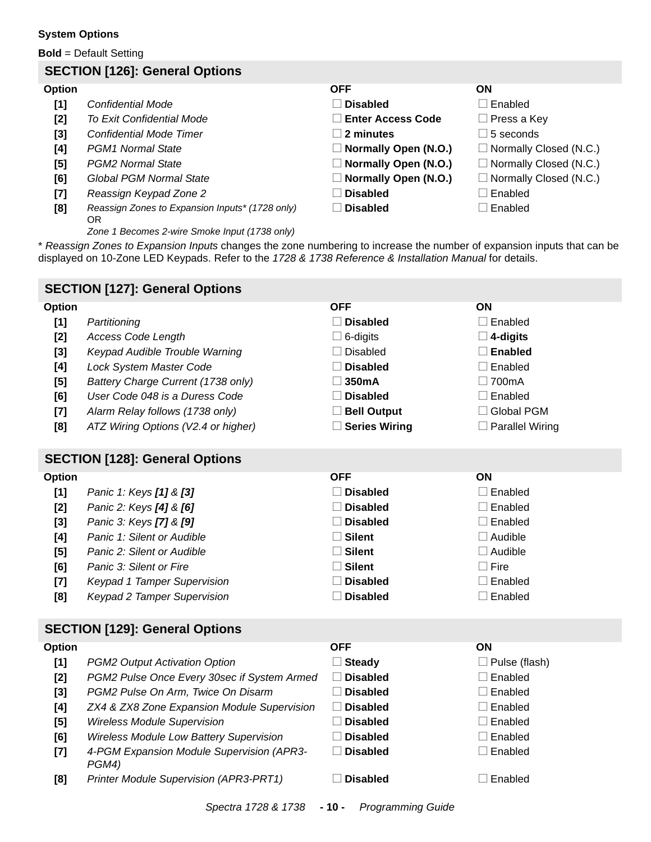#### <span id="page-9-0"></span>**System Options**

**Bold** = Default Setting

# **SECTION [126]: General Options**

#### **Option OFF ON**

- **[1]** Confidential Mode **N Engleright Confidential Mode** N **Disabled** Disabled
- 
- 
- 
- 
- 
- <span id="page-9-1"></span>
- <span id="page-9-2"></span>**[8]** *Reassign Zones to Expansion Inputs\* (1728 only)* OR
	- *Zone 1 Becomes 2-wire Smoke Input (1738 only)*

**[2]** *To Exit Confidential Mode* △N **Enter Access Code** □ Press a Key **[3]** Confidential Mode Timer **N 2 minutes**  $\Box$  **2 minutes**  $\Box$  5 seconds **[4]** *PGM1 Normal State* Normal State New State Normally Open **(N.O.)** Normally Closed (N.C.) **[5]** *PGM2 Normal State* **Note 2.1 <b>Normally Open (N.O.) Normally Closed (N.C.) [6]** Global PGM Normal State **Note 2 Normally Open (N.O.)** Normally Closed (N.C.) **[7]** Reassign Keypad Zone 2 **Disabled** Disabled N **Disabled** N Enabled

\* *Reassign Zones to Expansion Inputs* changes the zone numbering to increase the number of expansion inputs that can be displayed on 10-Zone LED Keypads. Refer to the *1728 & 1738 Reference & Installation Manual* for details.

<span id="page-9-3"></span>

|                                                                                 | <b>SECTION [127]: General Options</b>                                                                                                                                                                                                                                                                                                              |                                                                                                                                                                            |                                                                                                                                                               |
|---------------------------------------------------------------------------------|----------------------------------------------------------------------------------------------------------------------------------------------------------------------------------------------------------------------------------------------------------------------------------------------------------------------------------------------------|----------------------------------------------------------------------------------------------------------------------------------------------------------------------------|---------------------------------------------------------------------------------------------------------------------------------------------------------------|
| Option<br>[1]<br>$[2]$<br>$[3]$<br>[4]<br>[5]<br>[6]<br>$[7]$<br>[8]            | Partitioning<br><b>Access Code Length</b><br>Keypad Audible Trouble Warning<br>Lock System Master Code<br>Battery Charge Current (1738 only)<br>User Code 048 is a Duress Code<br>Alarm Relay follows (1738 only)<br>ATZ Wiring Options (V2.4 or higher)                                                                                           | <b>OFF</b><br>$\Box$ Disabled<br>$\Box$ 6-digits<br>$\Box$ Disabled<br><b>Disabled</b><br>$\square$ 350mA<br>$\Box$ Disabled<br><b>Bell Output</b><br>$\Box$ Series Wiring | ON<br>$\Box$ Enabled<br>$\square$ 4-digits<br>$\square$ Enabled<br>$\Box$ Enabled<br>$\Box$ 700mA<br>$\Box$ Enabled<br>□ Global PGM<br>$\Box$ Parallel Wiring |
|                                                                                 | <b>SECTION [128]: General Options</b>                                                                                                                                                                                                                                                                                                              |                                                                                                                                                                            |                                                                                                                                                               |
| <b>Option</b><br>$[1]$<br>$[2]$<br>$[3]$<br>[4]<br>$[5]$<br>[6]<br>$[7]$<br>[8] | Panic 1: Keys [1] & [3]<br>Panic 2: Keys [4] & [6]<br>Panic 3: Keys [7] & [9]<br>Panic 1: Silent or Audible<br>Panic 2: Silent or Audible<br>Panic 3: Silent or Fire<br>Keypad 1 Tamper Supervision<br><b>Keypad 2 Tamper Supervision</b>                                                                                                          | <b>OFF</b><br>$\Box$ Disabled<br><b>Disabled</b><br>□ Disabled<br>$\Box$ Silent<br>$\Box$ Silent<br>$\Box$ Silent<br>$\Box$ Disabled<br>$\Box$ Disabled                    | ON<br>$\Box$ Enabled<br>$\Box$ Enabled<br>$\Box$ Enabled<br>$\Box$ Audible<br>$\Box$ Audible<br>$\Box$ Fire<br>$\Box$ Enabled<br>$\Box$ Enabled               |
|                                                                                 | <b>SECTION [129]: General Options</b>                                                                                                                                                                                                                                                                                                              |                                                                                                                                                                            |                                                                                                                                                               |
| <b>Option</b><br>$[1]$<br>$[2]$<br>$[3]$<br>[4]<br>$[5]$<br>[6]<br>$[7]$<br>[8] | PGM2 Output Activation Option<br>PGM2 Pulse Once Every 30sec if System Armed<br>PGM2 Pulse On Arm, Twice On Disarm<br>ZX4 & ZX8 Zone Expansion Module Supervision<br><b>Wireless Module Supervision</b><br>Wireless Module Low Battery Supervision<br>4-PGM Expansion Module Supervision (APR3-<br>PGM4)<br>Printer Module Supervision (APR3-PRT1) | <b>OFF</b><br>$\Box$ Steady<br>$\Box$ Disabled<br>$\Box$ Disabled<br>$\Box$ Disabled<br>$\Box$ Disabled<br><b>Disabled</b><br>□ Disabled<br><b>Disabled</b>                | ON<br>$\Box$ Pulse (flash)<br>$\Box$ Enabled<br>$\Box$ Enabled<br>$\Box$ Enabled<br>$\Box$ Enabled<br>$\Box$ Enabled<br>$\Box$ Enabled<br>$\Box$ Enabled      |
|                                                                                 | 0.111114700017700                                                                                                                                                                                                                                                                                                                                  | $\overline{AB}$ $\overline{D}$ is surprised in $\overline{D}$                                                                                                              |                                                                                                                                                               |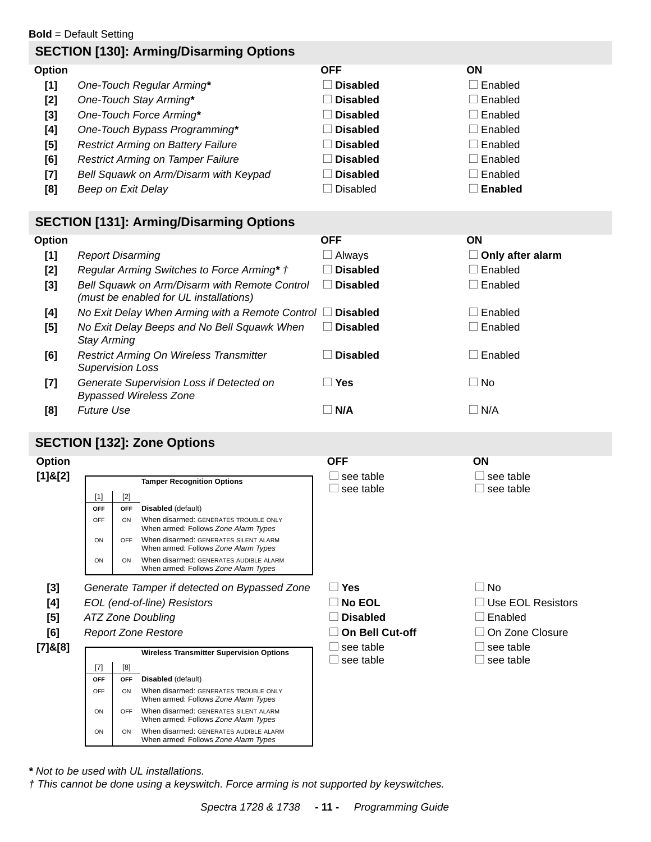**Bold** = Default Setting

# **SECTION [130]: Arming/Disarming Options**

| Option |                                           | <b>OFF</b>      | <b>ON</b> |
|--------|-------------------------------------------|-----------------|-----------|
| [1]    | One-Touch Regular Arming*                 | <b>Disabled</b> | Enabled   |
| $[2]$  | One-Touch Stay Arming*                    | <b>Disabled</b> | Enabled   |
| [3]    | One-Touch Force Arming*                   | <b>Disabled</b> | Enabled   |
| [4]    | One-Touch Bypass Programming*             | <b>Disabled</b> | Enabled   |
| [5]    | <b>Restrict Arming on Battery Failure</b> | <b>Disabled</b> | Enabled   |
| [6]    | <b>Restrict Arming on Tamper Failure</b>  | <b>Disabled</b> | Enabled   |
| [7]    | Bell Squawk on Arm/Disarm with Keypad     | <b>Disabled</b> | Enabled   |
| [8]    | Beep on Exit Delay                        | <b>Disabled</b> | Enabled   |

# **SECTION [131]: Arming/Disarming Options**

| <b>Option</b> |                                                                                         | <b>OFF</b>      | ON                      |
|---------------|-----------------------------------------------------------------------------------------|-----------------|-------------------------|
| $[1]$         | <b>Report Disarming</b>                                                                 | ∟ Always        | $\Box$ Only after alarm |
| $[2]$         | Regular Arming Switches to Force Arming* †                                              | <b>Disabled</b> | $\Box$ Enabled          |
| $[3]$         | Bell Squawk on Arm/Disarm with Remote Control<br>(must be enabled for UL installations) | <b>Disabled</b> | ⊟ Enabled               |
| [4]           | No Exit Delay When Arming with a Remote Control $\Box$                                  | <b>Disabled</b> | Enabled                 |
| [5]           | No Exit Delay Beeps and No Bell Squawk When<br><b>Stay Arming</b>                       | <b>Disabled</b> | ∣ l Enabled             |
| [6]           | <b>Restrict Arming On Wireless Transmitter</b><br><b>Supervision Loss</b>               | <b>Disabled</b> | Enabled                 |
| $[7]$         | Generate Supervision Loss if Detected on<br><b>Bypassed Wireless Zone</b>               | $\sqsupset$ Yes | l I No                  |
| [8]           | <b>Future Use</b>                                                                       | N/A             | $\Box$ N/A              |

# **SECTION [132]: Zone Options**

| Option        |                                                     |                                                         |                                                                                | <b>OFF</b>                              | ON                                                    |
|---------------|-----------------------------------------------------|---------------------------------------------------------|--------------------------------------------------------------------------------|-----------------------------------------|-------------------------------------------------------|
| $[1]$ & $[2]$ | <b>Tamper Recognition Options</b><br>$[2]$<br>$[1]$ |                                                         |                                                                                | $\Box$ see table<br>$\Box$ see table    | $\Box$ see table<br>see table<br>$\Box$               |
|               | <b>OFF</b>                                          | OFF                                                     | Disabled (default)                                                             |                                         |                                                       |
|               | <b>OFF</b>                                          | ON                                                      | When disarmed: GENERATES TROUBLE ONLY<br>When armed: Follows Zone Alarm Types  |                                         |                                                       |
|               | ON                                                  | OFF                                                     | When disarmed: GENERATES SILENT ALARM<br>When armed: Follows Zone Alarm Types  |                                         |                                                       |
|               | ON                                                  | ON                                                      | When disarmed: GENERATES AUDIBLE ALARM<br>When armed: Follows Zone Alarm Types |                                         |                                                       |
| $[3]$         | Generate Tamper if detected on Bypassed Zone        |                                                         |                                                                                | $\Box$ Yes                              | $\Box$ No                                             |
| [4]           |                                                     | EOL (end-of-line) Resistors<br><b>ATZ Zone Doubling</b> |                                                                                | $\Box$ No EOL                           | $\Box$ Use EOL Resistors                              |
| [5]           |                                                     |                                                         |                                                                                | <b>Disabled</b>                         | $\Box$ Enabled                                        |
| [6]           | <b>Report Zone Restore</b>                          |                                                         | □ On Bell Cut-off                                                              | $\Box$ On Zone Closure                  |                                                       |
| $[7]$ &[8]    | <b>Wireless Transmitter Supervision Options</b>     |                                                         |                                                                                | $\Box$ see table<br>see table<br>$\Box$ | l Isee table<br>see table<br>$\overline{\phantom{a}}$ |
|               | $[7]$                                               | [8]                                                     |                                                                                |                                         |                                                       |
|               | OFF                                                 | OFF                                                     | Disabled (default)                                                             |                                         |                                                       |
|               | OFF                                                 | ON                                                      | When disarmed: GENERATES TROUBLE ONLY<br>When armed: Follows Zone Alarm Types  |                                         |                                                       |
|               | ON                                                  | OFF                                                     | When disarmed: GENERATES SILENT ALARM<br>When armed: Follows Zone Alarm Types  |                                         |                                                       |
|               | ON                                                  | ON                                                      | When disarmed: GENERATES AUDIBLE ALARM<br>When armed: Follows Zone Alarm Types |                                         |                                                       |

*\* Not to be used with UL installations.*

*† This cannot be done using a keyswitch. Force arming is not supported by keyswitches.*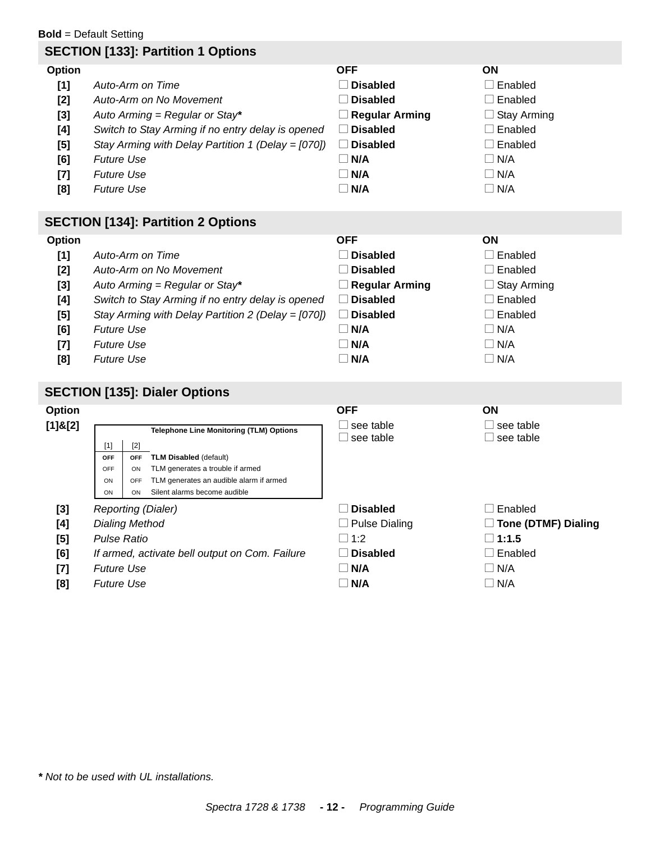#### **Bold** = Default Setting

# **SECTION [133]: Partition 1 Options**

# **Option OFF ON [1]** *Auto-Arm on Time* N Enabled Disabled Disabled Disabled Disabled **[2]** *Auto-Arm on No Movement* N **Disabled** N Enabled **[3]** *Auto Arming = Regular or Stay<sup>\*</sup>*  $\Box$  *Regular Arming*  $\Box$  *Stay Arming* **[4]** Switch to Stay Arming if no entry delay is opened  $\Box$  **Disabled**  $\Box$  Enabled **[5]** *Stay Arming with Delay Partition 1 (Delay = [070])*  $\Box$  **Disabled**  $\Box$  Enabled **[6]** *Future Use* N **N/A** N N/A **[7]** *Future Use* N/A  $\Box$  **N/A**  $\Box$  **N/A [8]** *Future Use* N **N/A** N N/A

# **SECTION [134]: Partition 2 Options**

| Option |                                                    | <b>OFF</b>            | <b>ON</b>          |
|--------|----------------------------------------------------|-----------------------|--------------------|
| $[1]$  | Auto-Arm on Time                                   | $\Box$ Disabled       | ∟ Enabled          |
| [2]    | Auto-Arm on No Movement                            | Disabled              | $\Box$ Enabled     |
| $[3]$  | Auto Arming = Regular or Stay*                     | $\Box$ Regular Arming | $\Box$ Stay Arming |
| [4]    | Switch to Stay Arming if no entry delay is opened  | <b>Disabled</b>       | $\Box$ Enabled     |
| [5]    | Stay Arming with Delay Partition 2 (Delay = [070]) | <b>Disabled</b>       | $\Box$ Enabled     |
| [6]    | <b>Future Use</b>                                  | $\neg$ N/A            | $\Box$ N/A         |
| $[7]$  | <b>Future Use</b>                                  | $\Box$ N/A            | $\Box$ N/A         |
| [8]    | <b>Future Use</b>                                  | $\neg$ N/A            | $\Box$ N/A         |

# **SECTION [135]: Dialer Options**

| Option        |                                  |                                  |                                                                                                                                                                | <b>OFF</b>              | ΟN                         |
|---------------|----------------------------------|----------------------------------|----------------------------------------------------------------------------------------------------------------------------------------------------------------|-------------------------|----------------------------|
| $[1]$ & $[2]$ | $[1]$<br><b>OFF</b><br>OFF<br>ON | $[2]$<br><b>OFF</b><br>ON<br>OFF | <b>Telephone Line Monitoring (TLM) Options</b><br><b>TLM Disabled (default)</b><br>TLM generates a trouble if armed<br>TLM generates an audible alarm if armed | see table<br>see table  | see table<br>see table     |
|               | ON                               | ON                               | Silent alarms become audible                                                                                                                                   |                         |                            |
| $[3]$         |                                  |                                  | Reporting (Dialer)                                                                                                                                             | <b>Disabled</b>         | Enabled                    |
| [4]           | <b>Dialing Method</b>            |                                  |                                                                                                                                                                | Pulse Dialing<br>$\Box$ | <b>Tone (DTMF) Dialing</b> |
| $[5]$         |                                  | Pulse Ratio                      |                                                                                                                                                                | $\Box$ 1:2              | $\Box$ 1:1.5               |
| [6]           |                                  |                                  | If armed, activate bell output on Com. Failure                                                                                                                 | <b>Disabled</b>         | Enabled                    |
| $[7]$         | <b>Future Use</b>                |                                  |                                                                                                                                                                | $\neg$ N/A              | $\Box$ N/A                 |
| [8]           | <b>Future Use</b>                |                                  |                                                                                                                                                                | N/A                     | N/A                        |

*\* Not to be used with UL installations.*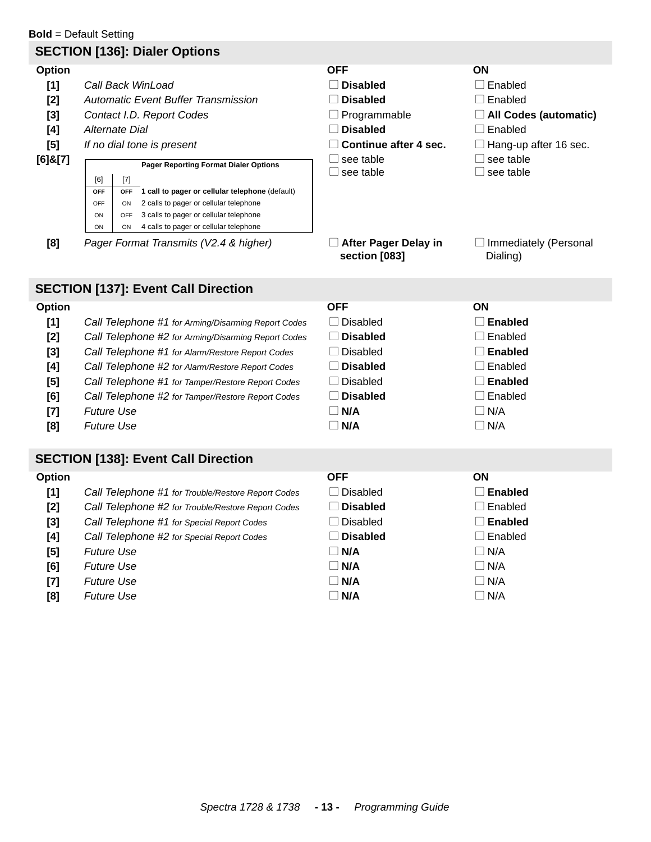# **Bold** = Default Setting **SECTION [136]: Dialer Options Option Community Community Community Community Community Community Community Community Community Community Com [1]** Call Back WinLoad Disabled Disabled Disabled Disabled Brabled **[2]** *Automatic Event Buffer Transmission* Disabled Disabled **N Enabled [3]** *Contact I.D. Report Codes*  $\Box$  Programmable  $\Box$  **All Codes (automatic) [4]** *Alternate Dial* 2013 **CONSERVING Disabled** Disabled Disabled **N** Enabled **[5]** *If no dial tone is present*  $\Box$  **Continue after 4 sec.**  $\Box$  Hang-up after 16 sec. **[6]&[7] N Pager Reporting Format Dialer Options Department Container Properties**  $\Box$  see table  $\square$  see table  $\Box$  see table **[8]** *Pager Format Transmits (V2.4 & higher)* **After Pager Delay in section [083]**  $\Box$  Immediately (Personal Dialing) **SECTION [137]: Event Call Direction Option Community Community Community Community Community Community Community Community Community Community Com [1]** *Call Telephone #1 for Arming/Disarming Report Codes*  $\Box$  Disabled  $\Box$  **Enabled [2]** *Call Telephone #2 for Arming/Disarming Report Codes*  $\Box$  **Disabled**  $\Box$  Enabled **[3]** *Call Telephone #1 for Alarm/Restore Report Codes*  $\Box$  Disabled  $\Box$  **Enabled [4]** *Call Telephone #2 for Alarm/Restore Report Codes* **Disabled** Disabled **N Enabled [5]** *Call Telephone #1 for Tamper/Restore Report Codes*  $\Box$  Disabled  $\Box$  **Enabled [6]** *Call Telephone #2 for Tamper/Restore Report Codes* **Disabled**  $\Box$  **Enabled [7]** *Future Use*  $\Box$  **N/A**  $\Box$  **N/A**  $\Box$  **N/A [8]** *Future Use*  $\Box$  **N/A**  $\Box$  **N/A**  $\Box$  **N/A SECTION [138]: Event Call Direction Option Community Community Community Community Community Community Community Community Community Community Com [1]** *Call Telephone #1 for Trouble/Restore Report Codes*  $\Box$  Disabled  $\Box$  **Enabled [2]** *Call Telephone #2 for Trouble/Restore Report Codes* **Disabled**  $\Box$  Enabled **[3]** *Call Telephone #1 for Special Report Codes*  $\Box$  Disabled  $\Box$  **Enabled [4] Call Telephone #2** for Special Report Codes **Disabled** Distribution  $\Box$  Enabled **[5]** *Future Use*  $\Box$  **N/A**  $\Box$  **N/A**  $\Box$  **N/A [6]** *Future Use*  $\Box$  **N/A**  $\Box$  **N/A**  $\Box$  **N/A [7]** *Future Use*  $\Box$  **N/A**  $\Box$  **N/A**  $\Box$  **N/A [8]** *Future Use*  $\Box$  **N/A**  $\Box$  **N/A**  $\Box$  **N/A** [6] [7] **OFF OFF 1 call to pager or cellular telephone** (default) OFF ON 2 calls to pager or cellular telephone ON OFF 3 calls to pager or cellular telephone ON ON 4 calls to pager or cellular telephone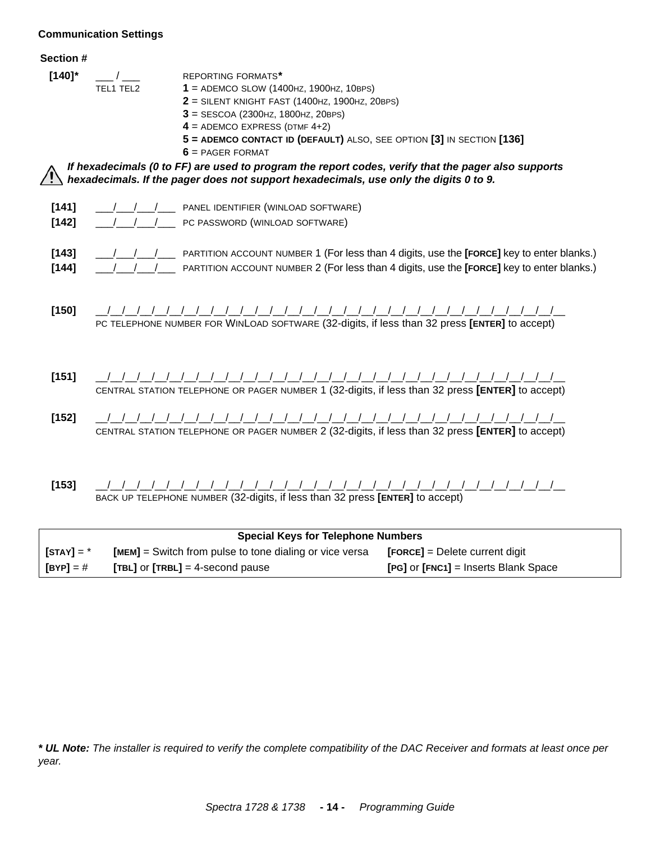# <span id="page-13-0"></span>**Communication Settings**

| Section # |  |
|-----------|--|
|-----------|--|

| <del>טכ</del> טווטוו <del>וו</del> |                                                                                                                                                                                                                                                                                                                                                                                                                             |
|------------------------------------|-----------------------------------------------------------------------------------------------------------------------------------------------------------------------------------------------------------------------------------------------------------------------------------------------------------------------------------------------------------------------------------------------------------------------------|
| $[140]$ *                          | <b>REPORTING FORMATS*</b><br>TEL1 TEL2<br>$1 =$ ADEMCO SLOW (1400HZ, 1900HZ, 10BPS)<br>$2$ = SILENT KNIGHT FAST (1400HZ, 1900HZ, 20BPS)<br>$3 = SESCOA (2300 Hz, 1800 Hz, 20 BPS)$<br>$4 =$ ADEMCO EXPRESS (DTMF 4+2)<br>5 = ADEMCO CONTACT ID (DEFAULT) ALSO, SEE OPTION [3] IN SECTION [136]<br>$6$ = PAGER FORMAT<br>If hexadecimals (0 to FF) are used to program the report codes, verify that the pager also supports |
|                                    | hexadecimals. If the pager does not support hexadecimals, use only the digits 0 to 9.                                                                                                                                                                                                                                                                                                                                       |
| $[141]$<br>$[142]$                 | PANEL IDENTIFIER (WINLOAD SOFTWARE)<br>PC PASSWORD (WINLOAD SOFTWARE)                                                                                                                                                                                                                                                                                                                                                       |
| $[143]$<br>$[144]$                 | PARTITION ACCOUNT NUMBER 1 (For less than 4 digits, use the [FORCE] key to enter blanks.)<br>PARTITION ACCOUNT NUMBER 2 (For less than 4 digits, use the [FORCE] key to enter blanks.)                                                                                                                                                                                                                                      |
| $[150]$                            | PC TELEPHONE NUMBER FOR WINLOAD SOFTWARE (32-digits, if less than 32 press [ENTER] to accept)                                                                                                                                                                                                                                                                                                                               |
| $[151]$                            | CENTRAL STATION TELEPHONE OR PAGER NUMBER 1 (32-digits, if less than 32 press [ENTER] to accept)                                                                                                                                                                                                                                                                                                                            |
| [152]                              | CENTRAL STATION TELEPHONE OR PAGER NUMBER 2 (32-digits, if less than 32 press [ENTER] to accept)                                                                                                                                                                                                                                                                                                                            |
| [153]                              | BACK UP TELEPHONE NUMBER (32-digits, if less than 32 press [ENTER] to accept)                                                                                                                                                                                                                                                                                                                                               |

| <b>Special Keys for Telephone Numbers</b> |                                                         |                                      |  |
|-------------------------------------------|---------------------------------------------------------|--------------------------------------|--|
| $\mathsf{[STAT]} = \text{*}$              | [MEM] = Switch from pulse to tone dialing or vice versa | $[FORCE] = Delete current digit$     |  |
| $[BYP] = #$                               | $[TBL]$ or $[TRBL] = 4$ -second pause                   | [PG] or [FNC1] = Inserts Blank Space |  |

*\* UL Note: The installer is required to verify the complete compatibility of the DAC Receiver and formats at least once per year.*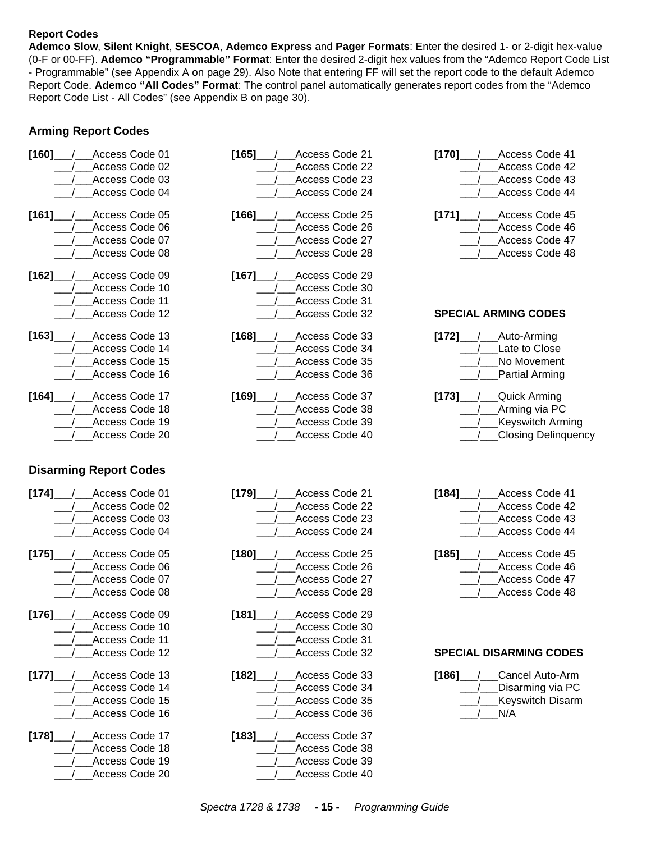## <span id="page-14-0"></span>**Report Codes**

**Ademco Slow**, **Silent Knight**, **SESCOA**, **Ademco Express** and **Pager Formats**: Enter the desired 1- or 2-digit hex-value (0-F or 00-FF). **Ademco "Programmable" Format**: Enter the desired 2-digit hex values from the "Ademco Report Code List - Programmable" (see Appendix A on [page 29\)](#page-28-0). Also Note that entering FF will set the report code to the default Ademco Report Code. **Ademco "All Codes" Format**: The control panel automatically generates report codes from the "Ademco Report Code List - All Codes" (see Appendix B on [page 30\)](#page-29-0).

# **Arming Report Codes**

| [160]<br>Access Code 01   | [165]<br>Access Code 21     | $[170]$<br>Access Code 41      |
|---------------------------|-----------------------------|--------------------------------|
| Access Code 02            | Access Code 22              | Access Code 42                 |
| Access Code 03            | Access Code 23              | Access Code 43                 |
| Access Code 04            | Access Code 24              | Access Code 44                 |
| [161]<br>Access Code 05   | $[166]$<br>Access Code 25   | Access Code 45<br>[171]        |
| Access Code 06            | Access Code 26              | Access Code 46                 |
| Access Code 07            | Access Code 27              | Access Code 47                 |
| Access Code 08            | Access Code 28              | Access Code 48                 |
| Access Code 09<br>$[162]$ | [167]<br>Access Code 29     |                                |
| Access Code 10            | Access Code 30              |                                |
| Access Code 11            | Access Code 31              |                                |
| Access Code 12            | Access Code 32              | <b>SPECIAL ARMING CODES</b>    |
| Access Code 13<br>$[163]$ | Access Code 33<br>[168]     | $[172]$<br>Auto-Arming         |
| Access Code 14            | Access Code 34              | Late to Close                  |
| Access Code 15            | Access Code 35              | No Movement                    |
| Access Code 16            | Access Code 36              | Partial Arming                 |
| $[164]$<br>Access Code 17 | [169]<br>Access Code 37     | $[173]$<br>__/___Quick Arming  |
| Access Code 18            | Access Code 38              | Arming via PC                  |
| Access Code 19            | Access Code 39              | <b>Keyswitch Arming</b>        |
| Access Code 20            | Access Code 40              | Closing Delinquency            |
| $[174]$<br>Access Code 01 | [179]<br>Access Code 21     | [184]<br>Access Code 41        |
|                           |                             |                                |
| Access Code 02            | Access Code 22              | Access Code 42                 |
| Access Code 03            | Access Code 23              | Access Code 43                 |
| Access Code 04            | Access Code 24              | Access Code 44                 |
| Access Code 05<br>$[175]$ | [180]<br>Access Code 25     | $[185]$<br>Access Code 45      |
| Access Code 06            | Access Code 26              | Access Code 46                 |
| Access Code 07            | Access Code 27              | Access Code 47                 |
| Access Code 08            | Access Code 28              | Access Code 48                 |
| Access Code 09<br>[176]   | / Access Code 29<br>$[181]$ |                                |
| Access Code 10            | /__Access Code 30           |                                |
| Access Code 11            | Access Code 31              |                                |
| Access Code 12            | Access Code 32              | <b>SPECIAL DISARMING CODES</b> |
| Access Code 13<br>$[177]$ | Access Code 33<br>$[182]$   | Cancel Auto-Arm<br>$[186]$     |
| Access Code 14            | Access Code 34              | Disarming via PC               |
| Access Code 15            | Access Code 35              | <b>Keyswitch Disarm</b>        |
| Access Code 16            | Access Code 36              | N/A                            |
| $[178]$<br>Access Code 17 | Access Code 37<br>$[183]$   |                                |
| Access Code 18            | Access Code 38              |                                |
| Access Code 19            | Access Code 39              |                                |
| Access Code 20            | Access Code 40              |                                |
|                           |                             |                                |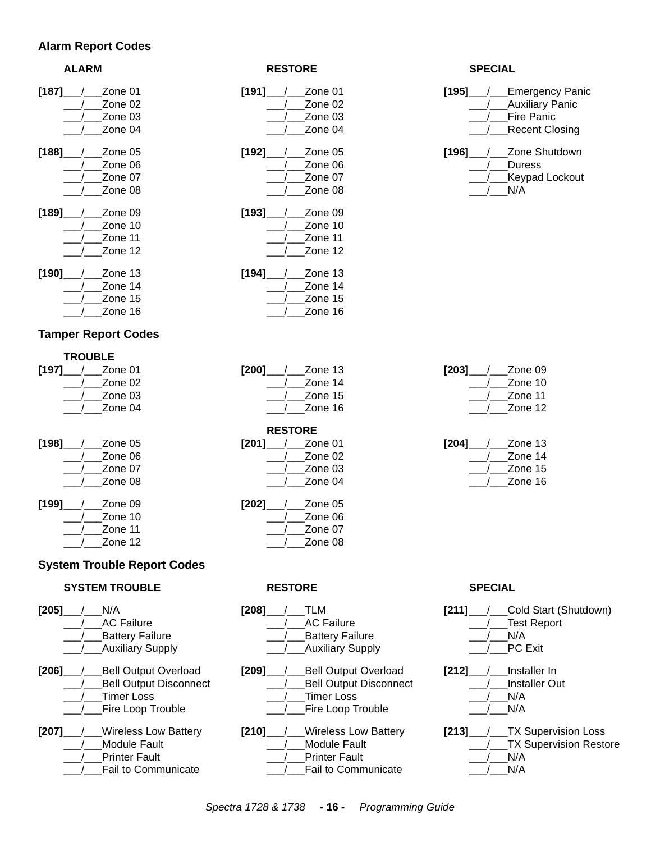## **Alarm Report Codes**

| <b>RESTORE</b>     | <b>SPECIAL</b>                                                                       |  |
|--------------------|--------------------------------------------------------------------------------------|--|
| [191]<br>Zone 01   | $[195]$<br>Eı                                                                        |  |
| Zone 02            | A١                                                                                   |  |
| Zone 03            | Fi                                                                                   |  |
| Zone 04            | R                                                                                    |  |
| $[192]$<br>Zone 05 | $[196]$<br>Z                                                                         |  |
| Zone 06            | D                                                                                    |  |
|                    | Κ                                                                                    |  |
| Zone 08            | $N_{\rm s}$                                                                          |  |
| Zone 09            |                                                                                      |  |
|                    |                                                                                      |  |
|                    |                                                                                      |  |
| Zone 12            |                                                                                      |  |
| Zone 13            |                                                                                      |  |
|                    |                                                                                      |  |
|                    |                                                                                      |  |
|                    |                                                                                      |  |
|                    | Zone 07<br>$[193]$<br>Zone 10<br>Zone 11<br>$[194]$<br>Zone 14<br>Zone 15<br>Zone 16 |  |

# **Tamper Report Codes**

|         | <b>TROUBLE</b> |  |
|---------|----------------|--|
| [197]   | Zone 01        |  |
|         | Zone 02        |  |
|         | Zone 03        |  |
|         | Zone 04        |  |
|         |                |  |
| $[198]$ | Zone 05        |  |
|         | Zone 06        |  |
|         | Zone 07        |  |
|         | Zone 08        |  |
| [199]   | Zone 09        |  |
|         | Zone 10        |  |
|         | Zone 11        |  |
|         | Zone 12        |  |
|         |                |  |

# **System Trouble Report Codes**

## **SYSTEM TROUBLE RESTORE SPECIAL**

|       | N/A                           |
|-------|-------------------------------|
|       | <b>AC Failure</b>             |
|       | <b>Battery Failure</b>        |
|       | <b>Auxiliary Supply</b>       |
| [206] | <b>Bell Output Overload</b>   |
|       | <b>Bell Output Disconnect</b> |
|       | <b>Timer Loss</b>             |
|       | <b>Fire Loop Trouble</b>      |
| [207] | <b>Wireless Low Battery</b>   |
|       | <b>Module Fault</b>           |
|       | <b>Printer Fault</b>          |
|       | <b>Fail to Communicate</b>    |
|       |                               |

| [191]____/__ |            | Zone 01 |
|--------------|------------|---------|
|              |            | Zone 02 |
|              |            | Zone 03 |
|              |            | Zone 04 |
| [192]__      | $\sqrt{2}$ | Zone 05 |
|              |            | Zone 06 |
|              |            | Zone 07 |
|              |            | Zone 08 |
|              |            |         |
| [193]____/__ |            | Zone 09 |
|              |            | Zone 10 |
|              |            | Zone 11 |
|              |            | Zone 12 |
| [194]        |            | Zone 13 |
|              |            | Zone 14 |
|              |            | Zone 15 |
|              |            | Zone 16 |
|              |            |         |
|              |            |         |

| Zone 13 |
|---------|
| Zone 14 |
| Zone 15 |
| Zone 16 |
|         |

| <b>RESTORE</b> |  |                   |  |  |
|----------------|--|-------------------|--|--|
|                |  | $[201]$ / Zone 01 |  |  |
|                |  | / Zone 02         |  |  |
|                |  | Zone 03           |  |  |
|                |  | Zone 04           |  |  |
|                |  | $[202]$ / Zone 05 |  |  |

| Zone 06 |
|---------|
| Zone 07 |
| Zone 08 |

| $[208]$ $\_$ / $\_$ TLM   |
|---------------------------|
| <b>AC Failure</b>         |
| <b>Battery Failure</b>    |
| / Auxiliary Supply        |
| [209] / Bell Output Overk |
|                           |

| [209] / Bell Output Overload  |  |
|-------------------------------|--|
| <b>Bell Output Disconnect</b> |  |
| Timer Loss                    |  |
| /___Fire Loop Trouble         |  |

|  | [210] / Wireless Low Battery |
|--|------------------------------|
|  | Module Fault                 |
|  | Printer Fault                |
|  | Fail to Communicate          |

| [195] | <b>Emergency Panic</b><br><b>Auxiliary Panic</b><br>Fire Panic |
|-------|----------------------------------------------------------------|
|       |                                                                |
|       | <b>Recent Closing</b>                                          |
| [196] | Zone Shutdown                                                  |
|       | Duress                                                         |
|       | <b>Keypad Lockout</b>                                          |
|       | N/A                                                            |
|       |                                                                |

| [203] | Zone 09 |  |
|-------|---------|--|
|       | Zone 10 |  |
|       | Zone 11 |  |
|       | Zone 12 |  |
|       |         |  |

| [204] | Zone 13 |  |
|-------|---------|--|
|       | Zone 14 |  |
|       | Zone 15 |  |
|       | Zone 16 |  |

| [211]        | Cold Start (Shutdown)         |
|--------------|-------------------------------|
|              | <b>Test Report</b>            |
|              | N/A                           |
|              | <b>PC Exit</b>                |
| $[212] \_\_$ | Installer In                  |
|              | <b>Installer Out</b>          |
|              | N/A                           |
|              | N/A                           |
| [213]_       | <b>TX Supervision Loss</b>    |
|              | <b>TX Supervision Restore</b> |
|              | N/A                           |
|              | N/A                           |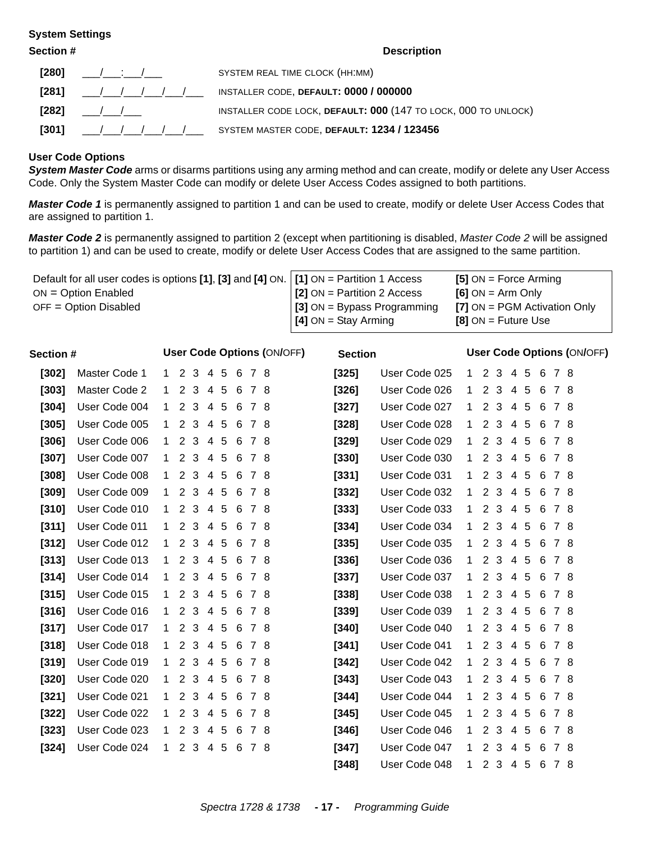#### <span id="page-16-0"></span>**System Settings**

**Section # Description [280]** \_\_\_/\_\_\_:\_\_\_/\_\_\_ SYSTEM REAL TIME CLOCK (HH:MM) **[281]** \_\_\_/\_\_\_/\_\_\_/\_\_\_/\_\_\_/\_\_\_ INSTALLER CODE, **DEFAULT: 0000 / 000000 [282]** \_\_\_/\_\_\_/\_\_\_ INSTALLER CODE LOCK, **DEFAULT: 000** (147 TO LOCK, 000 TO UNLOCK) **[301]** \_\_\_/\_\_\_/\_\_\_/\_\_\_/\_\_\_/\_\_\_ SYSTEM MASTER CODE, **DEFAULT: 1234 / 123456**

#### <span id="page-16-1"></span>**User Code Options**

*System Master Code* arms or disarms partitions using any arming method and can create, modify or delete any User Access Code. Only the System Master Code can modify or delete User Access Codes assigned to both partitions.

*Master Code 1* is permanently assigned to partition 1 and can be used to create, modify or delete User Access Codes that are assigned to partition 1.

*Master Code 2* is permanently assigned to partition 2 (except when partitioning is disabled, *Master Code 2* will be assigned to partition 1) and can be used to create, modify or delete User Access Codes that are assigned to the same partition.

| Default for all user codes is options [1], [3] and [4] ON. $\vert$ [1] ON = Partition 1 Access |                                    | $[5]$ ON = Force Arming        |
|------------------------------------------------------------------------------------------------|------------------------------------|--------------------------------|
| $ON = Option$ Enabled                                                                          | <b>[2]</b> ON = Partition 2 Access | $[6]$ ON = Arm Only            |
| $OFF = Option Disabled$                                                                        | $\mid$ [3] ON = Bypass Programming | $[7]$ ON = PGM Activation Only |
|                                                                                                | $[4]$ ON = Stay Arming             | $[8]$ ON = Future Use          |

| Section # |               |              |                       |         |                     |                 |     |       | <b>User Code Options (ON/OFF)</b> | <b>Section</b> |               |              |                      |                |   |   |   |     | <b>User Code Options (ON/OFF)</b> |
|-----------|---------------|--------------|-----------------------|---------|---------------------|-----------------|-----|-------|-----------------------------------|----------------|---------------|--------------|----------------------|----------------|---|---|---|-----|-----------------------------------|
| $[302]$   | Master Code 1 | $\mathbf{1}$ |                       | 2 3 4 5 |                     |                 | - 6 | 78    |                                   | $[325]$        | User Code 025 | 1            |                      | 2 3            | 4 | 5 | 6 | 78  |                                   |
| $[303]$   | Master Code 2 | $\mathbf 1$  | $\overline{2}$        | 3       |                     | 4 5             | 6   | 78    |                                   | $[326]$        | User Code 026 | $\mathbf 1$  | 2                    | 3              | 4 | 5 | 6 | 78  |                                   |
| $[304]$   | User Code 004 | 1.           | $\overline{2}$        | 3       |                     | 45              | -6  | 78    |                                   | $[327]$        | User Code 027 | 1.           | 2                    | 3              | 4 | 5 | 6 | 78  |                                   |
| $[305]$   | User Code 005 | 1.           | 2                     | 3       | 4                   | 5               | 6   | 78    |                                   | $[328]$        | User Code 028 | $\mathbf{1}$ | $\overline{2}$       | 3              | 4 | 5 | 6 | 78  |                                   |
| $[306]$   | User Code 006 | 1            | 2                     |         | 3 4 5               |                 |     | 678   |                                   | $[329]$        | User Code 029 | 1            | 2                    | 3              | 4 | 5 | 6 | 78  |                                   |
| $[307]$   | User Code 007 | 1.           | $\mathbf{2}^{\prime}$ | 3       | $\overline{4}$      | -5              | -6  | 78    |                                   | $[330]$        | User Code 030 | $\mathbf{1}$ | $\overline{2}$       | 3              | 4 | 5 | 6 | 78  |                                   |
| $[308]$   | User Code 008 | 1.           | 2                     |         | $3 \quad 4 \quad 5$ |                 |     | 678   |                                   | $[331]$        | User Code 031 | $\mathbf{1}$ | $\mathbf{2}$         | 3              | 4 | 5 | 6 | 78  |                                   |
| $[309]$   | User Code 009 | 1.           | 2                     | 3       | -4                  | $\sqrt{5}$      | 6   | 78    |                                   | $[332]$        | User Code 032 | $\mathbf{1}$ | $\overline{2}$       | 3              | 4 | 5 | 6 | 78  |                                   |
| $[310]$   | User Code 010 | 1            | 2                     | 3       | -4                  | $5\phantom{.0}$ |     | 6 7 8 |                                   | $[333]$        | User Code 033 | 1.           | $\overline{2}$       | 3              | 4 | 5 | 6 | 78  |                                   |
| [311]     | User Code 011 | 1.           | $\overline{2}$        | 3       | 4                   | 5               | 6   | 78    |                                   | $[334]$        | User Code 034 | 1            | $\overline{2}$       | 3              | 4 | 5 | 6 | 78  |                                   |
| $[312]$   | User Code 012 | 1.           | $\overline{2}$        | 3       | 4                   | $5\phantom{.0}$ | 6   | 78    |                                   | $[335]$        | User Code 035 | $\mathbf 1$  | $\overline{2}$       | 3              | 4 | 5 | 6 | 78  |                                   |
| $[313]$   | User Code 013 | 1.           | $\overline{2}$        | 3       | $\overline{4}$      | 5               | 6   | 78    |                                   | $[336]$        | User Code 036 | $\mathbf 1$  | $\overline{2}$       | 3              | 4 | 5 | 6 | 78  |                                   |
| $[314]$   | User Code 014 | 1.           | $\overline{2}$        | 3       | 4                   | 5               | -6  | 78    |                                   | $[337]$        | User Code 037 | 1            | $\overline{2}$       | 3              | 4 | 5 | 6 | 78  |                                   |
| $[315]$   | User Code 015 | 1.           | 2                     | 3       | $\overline{4}$      | 5               | 6   | 78    |                                   | $[338]$        | User Code 038 | $\mathbf 1$  | $\overline{2}$       | 3              | 4 | 5 | 6 | 78  |                                   |
| [316]     | User Code 016 | 1.           | $\overline{2}$        | 3       | 4                   | 5               | -6  | 78    |                                   | $[339]$        | User Code 039 | $\mathbf 1$  | $\overline{2}$       | 3              | 4 | 5 | 6 | 78  |                                   |
| $[317]$   | User Code 017 | 1            | 2                     | 3       |                     | 45              | 6   | 78    |                                   | $[340]$        | User Code 040 | 1            |                      | 2 3            | 4 | 5 | 6 | 78  |                                   |
| $[318]$   | User Code 018 | 1            | 2                     | 3       | 4                   | - 5             | -6  | 78    |                                   | $[341]$        | User Code 041 | 1            | $\mathbf{2}^{\circ}$ | 3              | 4 | 5 | 6 | 78  |                                   |
| $[319]$   | User Code 019 | 1.           | 2                     | 3       | 4                   | - 5             | -6  | 78    |                                   | $[342]$        | User Code 042 | 1            |                      | 2 3            | 4 | 5 | 6 | 78  |                                   |
| $[320]$   | User Code 020 | 1.           | 2                     | 3       | 4                   | -5              | 6   | 78    |                                   | $[343]$        | User Code 043 | 1            | 2                    | 3              | 4 | 5 | 6 | 78  |                                   |
| $[321]$   | User Code 021 | 1.           | 2                     | 3       | 4                   | $5\phantom{.0}$ | 6   | 78    |                                   | $[344]$        | User Code 044 | 1            | $\overline{2}$       | 3              | 4 | 5 | 6 | 78  |                                   |
| $[322]$   | User Code 022 | 1            | 2                     | 3       | 4                   | -5              | -6  | 78    |                                   | $[345]$        | User Code 045 | 1            | $\overline{2}$       | 3              | 4 | 5 | 6 | 78  |                                   |
| $[323]$   | User Code 023 | 1.           | $\mathbf{2}$          | 3       | 4                   | 5               | 6   | 78    |                                   | $[346]$        | User Code 046 | 1            | $\overline{2}$       | 3              | 4 | 5 | 6 | 78  |                                   |
| $[324]$   | User Code 024 | 1            | 2                     | 3       |                     | 4 5             | -6  | 78    |                                   | $[347]$        | User Code 047 | 1            | $\overline{2}$       | 3              | 4 | 5 | 6 | 7 8 |                                   |
|           |               |              |                       |         |                     |                 |     |       |                                   | [348]          | User Code 048 | $\mathbf{1}$ |                      | 2 <sub>3</sub> | 4 | 5 | 6 | 78  |                                   |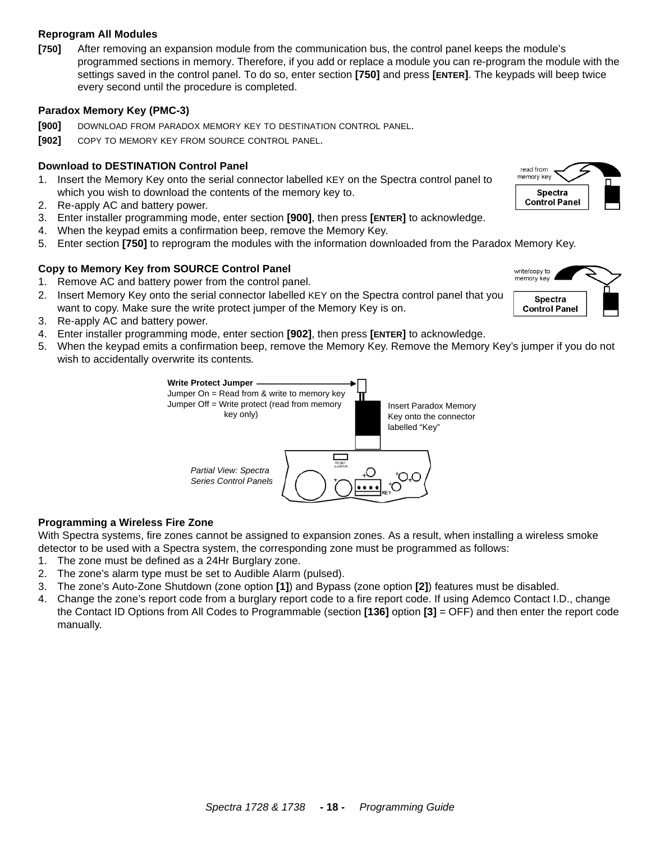#### *Spectra 1728 & 1738* **- 18 -** *Programming Guide*

#### <span id="page-17-0"></span>**Reprogram All Modules**

**[750]** After removing an expansion module from the communication bus, the control panel keeps the module's programmed sections in memory. Therefore, if you add or replace a module you can re-program the module with the settings saved in the control panel. To do so, enter section **[750]** and press **[ENTER]**. The keypads will beep twice every second until the procedure is completed.

# <span id="page-17-1"></span>**Paradox Memory Key (PMC-3)**

- **[900]** DOWNLOAD FROM PARADOX MEMORY KEY TO DESTINATION CONTROL PANEL.
- **[902]** COPY TO MEMORY KEY FROM SOURCE CONTROL PANEL.

# **Download to DESTINATION Control Panel**

- 1. Insert the Memory Key onto the serial connector labelled KEY on the Spectra control panel to which you wish to download the contents of the memory key to.
- 2. Re-apply AC and battery power.
- 3. Enter installer programming mode, enter section **[900]**, then press **[ENTER]** to acknowledge.
- 4. When the keypad emits a confirmation beep, remove the Memory Key.
- 5. Enter section **[750]** to reprogram the modules with the information downloaded from the Paradox Memory Key.

# **Copy to Memory Key from SOURCE Control Panel**

- 1. Remove AC and battery power from the control panel.
- 2. Insert Memory Key onto the serial connector labelled KEY on the Spectra control panel that you want to copy. Make sure the write protect jumper of the Memory Key is on.
- 3. Re-apply AC and battery power.
- 4. Enter installer programming mode, enter section **[902]**, then press **[ENTER]** to acknowledge.
- 5. When the keypad emits a confirmation beep, remove the Memory Key. Remove the Memory Key's jumper if you do not wish to accidentally overwrite its contents*.*



#### <span id="page-17-2"></span>**Programming a Wireless Fire Zone**

With Spectra systems, fire zones cannot be assigned to expansion zones. As a result, when installing a wireless smoke detector to be used with a Spectra system, the corresponding zone must be programmed as follows:

- 1. The zone must be defined as a 24Hr Burglary zone.
- 2. The zone's alarm type must be set to Audible Alarm (pulsed).
- 3. The zone's Auto-Zone Shutdown (zone option **[1]**) and Bypass (zone option **[2]**) features must be disabled.
- 4. Change the zone's report code from a burglary report code to a fire report code. If using Ademco Contact I.D., change the Contact ID Options from All Codes to Programmable (section **[136]** option **[3]** = OFF) and then enter the report code manually.



read from memory key

> **Spectra Control Panel**

**Spectra Control Panel**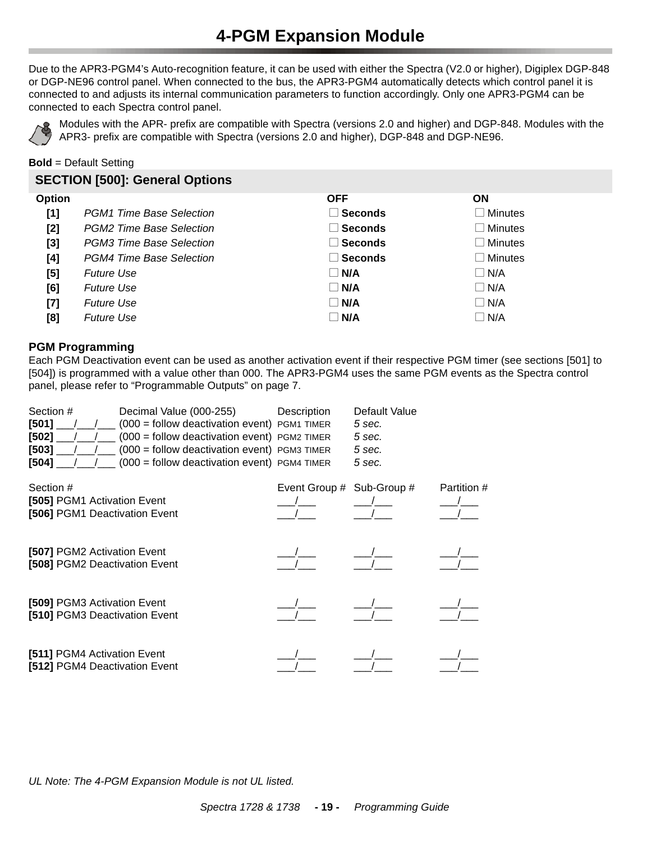# **4-PGM Expansion Module**

<span id="page-18-0"></span>Due to the APR3-PGM4's Auto-recognition feature, it can be used with either the Spectra (V2.0 or higher), Digiplex DGP-848 or DGP-NE96 control panel. When connected to the bus, the APR3-PGM4 automatically detects which control panel it is connected to and adjusts its internal communication parameters to function accordingly. Only one APR3-PGM4 can be connected to each Spectra control panel.



Modules with the APR- prefix are compatible with Spectra (versions 2.0 and higher) and DGP-848. Modules with the APR3- prefix are compatible with Spectra (versions 2.0 and higher), DGP-848 and DGP-NE96.

**Bold** = Default Setting

# **SECTION [500]: General Options**

| <b>Option</b> |                          | <b>OFF</b>     | ΟN         |
|---------------|--------------------------|----------------|------------|
| [1]           | PGM1 Time Base Selection | $\Box$ Seconds | Minutes    |
| [2]           | PGM2 Time Base Selection | ∣ Seconds      | Minutes    |
| $[3]$         | PGM3 Time Base Selection | $\Box$ Seconds | Minutes    |
| [4]           | PGM4 Time Base Selection | $\Box$ Seconds | Minutes    |
| [5]           | <b>Future Use</b>        | $\Box$ N/A     | $\Box$ N/A |
| [6]           | <b>Future Use</b>        | $\Box$ N/A     | $\Box$ N/A |
| $[7]$         | <b>Future Use</b>        | $\square$ N/A  | $\Box$ N/A |
| [8]           | <b>Future Use</b>        | $\square$ N/A  | $\Box$ N/A |

## **PGM Programming**

Each PGM Deactivation event can be used as another activation event if their respective PGM timer (see sections [501] to [504]) is programmed with a value other than 000. The APR3-PGM4 uses the same PGM events as the Spectra control panel, please refer to ["Programmable Outputs" on page 7](#page-6-0).

| Section #   | Decimal Value (000-255)                                                              | Description | Default Value |
|-------------|--------------------------------------------------------------------------------------|-------------|---------------|
| $[501]$ / / | $(000 =$ follow deactivation event) PGM1 TIMER                                       |             | 5 sec.        |
|             | $[502]$ $/$ $/$ $/$ $(000)$ = follow deactivation event) PGM2 TIMER                  |             | 5 sec.        |
|             | $[503]$ $\frac{1}{100}$ $\frac{1}{100}$ (000 = follow deactivation event) PGM3 TIMER |             | 5 sec.        |
|             | $[504]$ $\frac{1}{\sqrt{2}}$ (000 = follow deactivation event) PGM4 TIMER            |             | 5 sec.        |

| Section #<br>[505] PGM1 Activation Event<br>[506] PGM1 Deactivation Event | Event Group # Sub-Group # | Partition # |
|---------------------------------------------------------------------------|---------------------------|-------------|
| [507] PGM2 Activation Event<br>[508] PGM2 Deactivation Event              |                           |             |
| [509] PGM3 Activation Event<br>[510] PGM3 Deactivation Event              |                           |             |
| [511] PGM4 Activation Event<br>[512] PGM4 Deactivation Event              |                           |             |

*UL Note: The 4-PGM Expansion Module is not UL listed.*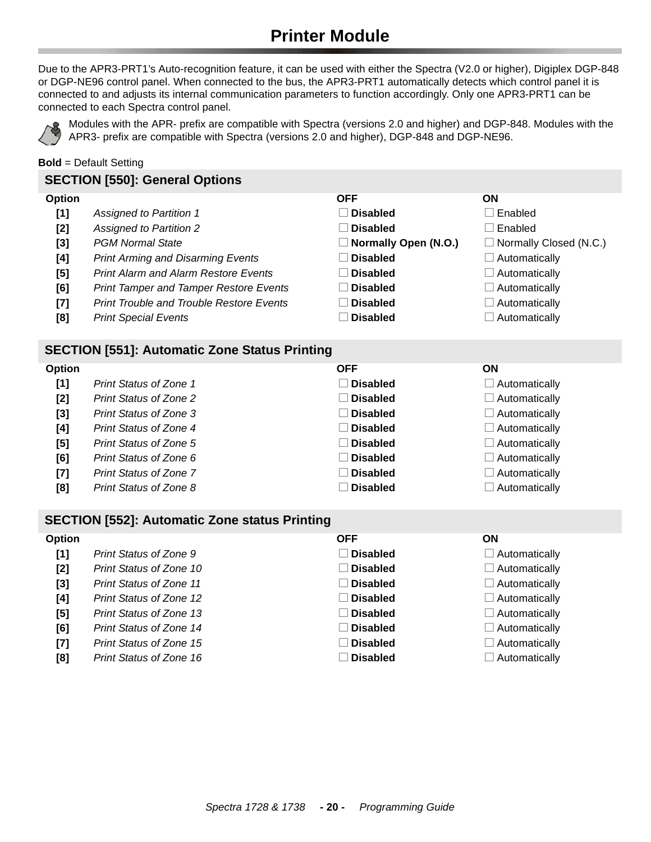# **Printer Module**

<span id="page-19-0"></span>Due to the APR3-PRT1's Auto-recognition feature, it can be used with either the Spectra (V2.0 or higher), Digiplex DGP-848 or DGP-NE96 control panel. When connected to the bus, the APR3-PRT1 automatically detects which control panel it is connected to and adjusts its internal communication parameters to function accordingly. Only one APR3-PRT1 can be connected to each Spectra control panel.



Modules with the APR- prefix are compatible with Spectra (versions 2.0 and higher) and DGP-848. Modules with the APR3- prefix are compatible with Spectra (versions 2.0 and higher), DGP-848 and DGP-NE96.

**Bold** = Default Setting

#### **SECTION [550]: General Options**

| <b>Option</b> | OFF | ON |
|---------------|-----|----|
|               |     |    |

- **[1] Assigned to Partition 1 Disabled Disabled Denabled**
- **[2] Assigned to Partition 2 Disabled Disabled Denabled**
- **[3]** *PGM Normal State* Normal State **No. 2016 Normally Open (N.O.) Normally Closed (N.C.)**
- **[4]** *Print Arming and Disarming Events* **Disabled N Disabled N Automatically**
- **[5] Print Alarm and Alarm Restore Events Disabled N Automatically**
- **[6]** *Print Tamper and Tamper Restore Events*  $\Box$  **Disabled**  $\Box$  Automatically
- **[7]** *Print Trouble and Trouble Restore Events* **Disabled N Automatically**
- **[8] Print Special Events N Automatically Disabled N Disabled N Automatically**

#### **SECTION [551]: Automatic Zone Status Printing**

| Option |                               | <b>OFF</b>      | <b>ON</b>            |
|--------|-------------------------------|-----------------|----------------------|
| [1]    | <b>Print Status of Zone 1</b> | $\Box$ Disabled | $\Box$ Automatically |
| [2]    | Print Status of Zone 2        | $\Box$ Disabled | $\Box$ Automatically |
| $[3]$  | Print Status of Zone 3        | $\Box$ Disabled | $\Box$ Automatically |
| [4]    | Print Status of Zone 4        | $\Box$ Disabled | $\Box$ Automatically |
| [5]    | Print Status of Zone 5        | $\Box$ Disabled | $\Box$ Automatically |
| [6]    | Print Status of Zone 6        | $\Box$ Disabled | $\Box$ Automatically |
| $[7]$  | Print Status of Zone 7        | $\Box$ Disabled | $\Box$ Automatically |
| [8]    | Print Status of Zone 8        | Disabled        | $\Box$ Automatically |

# **SECTION [552]: Automatic Zone status Printing**

| <b>Option</b> |                                | <b>OFF</b>        | <b>ON</b>            |
|---------------|--------------------------------|-------------------|----------------------|
| [1]           | Print Status of Zone 9         | $\Box$ Disabled   | $\Box$ Automatically |
| $[2]$         | Print Status of Zone 10        | $\Box$ Disabled   | $\Box$ Automatically |
| $[3]$         | <b>Print Status of Zone 11</b> | $\Box$ Disabled   | $\Box$ Automatically |
| [4]           | Print Status of Zone 12        | <b>⊥ Disabled</b> | $\Box$ Automatically |
| $[5]$         | <b>Print Status of Zone 13</b> | $\Box$ Disabled   | $\Box$ Automatically |
| [6]           | Print Status of Zone 14        | $\Box$ Disabled   | $\Box$ Automatically |
| $[7]$         | Print Status of Zone 15        | $\Box$ Disabled   | $\Box$ Automatically |
| [8]           | <b>Print Status of Zone 16</b> | <b>Disabled</b>   | $\Box$ Automatically |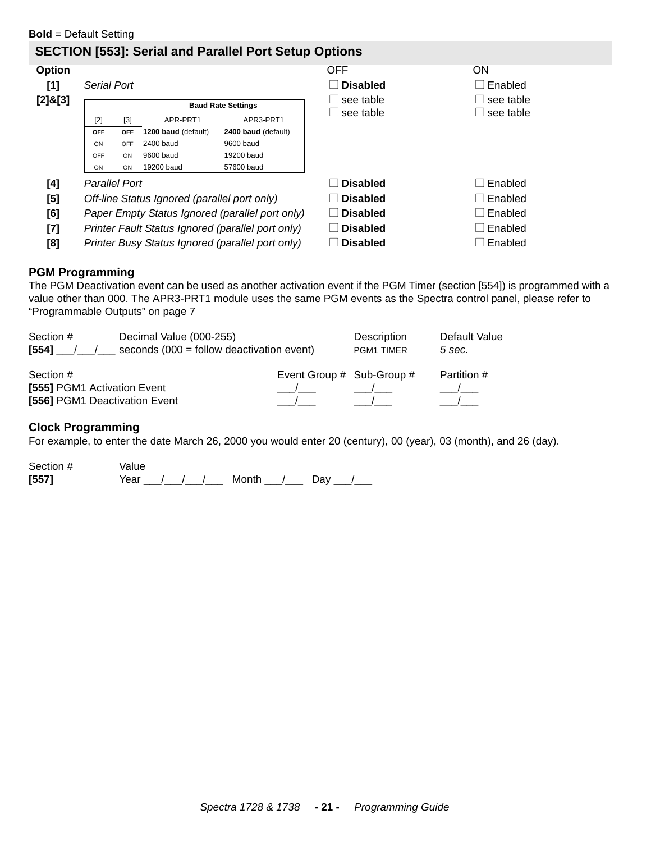# **SECTION [553]: Serial and Parallel Port Setup Options**

| <b>Option</b>                                                                                                                                                                                                        |                      |            |                                              |                                                   | <b>OFF</b>      | <b>ON</b> |
|----------------------------------------------------------------------------------------------------------------------------------------------------------------------------------------------------------------------|----------------------|------------|----------------------------------------------|---------------------------------------------------|-----------------|-----------|
| [1]                                                                                                                                                                                                                  | <b>Serial Port</b>   |            |                                              |                                                   | <b>Disabled</b> | Enabled   |
| $[2]$ & $[3]$                                                                                                                                                                                                        |                      |            |                                              |                                                   | see table       | see table |
|                                                                                                                                                                                                                      |                      |            |                                              | <b>Baud Rate Settings</b>                         |                 | see table |
|                                                                                                                                                                                                                      | [2]                  | $[3]$      | APR-PRT1                                     | APR3-PRT1                                         | see table       |           |
|                                                                                                                                                                                                                      | <b>OFF</b>           | <b>OFF</b> | 1200 baud (default)                          | 2400 baud (default)                               |                 |           |
|                                                                                                                                                                                                                      | ON                   | OFF        | 2400 baud                                    | 9600 baud                                         |                 |           |
|                                                                                                                                                                                                                      | OFF                  | ON         | 9600 baud                                    | 19200 baud                                        |                 |           |
|                                                                                                                                                                                                                      | ON                   | ON         | 19200 baud                                   | 57600 baud                                        |                 |           |
| [4]                                                                                                                                                                                                                  | <b>Parallel Port</b> |            |                                              |                                                   | <b>Disabled</b> | Enabled   |
| [5]                                                                                                                                                                                                                  |                      |            | Off-line Status Ignored (parallel port only) |                                                   | <b>Disabled</b> | Enabled   |
| [6]                                                                                                                                                                                                                  |                      |            |                                              | Paper Empty Status Ignored (parallel port only)   | <b>Disabled</b> | Enabled   |
| $[7] \centering% \includegraphics[width=1\textwidth]{images/TransY.pdf} \caption{The first two different values of $d=3$ and $d=4$ (left) and $d=5$ (right) and $d=6$ (right) and $d=6$ (right).} \label{fig:class}$ |                      |            |                                              | Printer Fault Status Ignored (parallel port only) | <b>Disabled</b> | Enabled   |
| [8]                                                                                                                                                                                                                  |                      |            |                                              | Printer Busy Status Ignored (parallel port only)  | <b>Disabled</b> | Enabled   |

#### **PGM Programming**

The PGM Deactivation event can be used as another activation event if the PGM Timer (section [554]) is programmed with a value other than 000. The APR3-PRT1 module uses the same PGM events as the Spectra control panel, please refer to ["Programmable Outputs" on page 7](#page-6-0)

| Section #                                                                 | Decimal Value (000-255)                     |                           | Description | Default Value |
|---------------------------------------------------------------------------|---------------------------------------------|---------------------------|-------------|---------------|
| [554]                                                                     | seconds $(000 =$ follow deactivation event) |                           | PGM1 TIMER  | 5 sec.        |
| Section #<br>[555] PGM1 Activation Event<br>[556] PGM1 Deactivation Event |                                             | Event Group # Sub-Group # |             | Partition #   |

#### **Clock Programming**

For example, to enter the date March 26, 2000 you would enter 20 (century), 00 (year), 03 (month), and 26 (day).

Section # Value **[557]** Year 1.1 Year 1.1 Month 1.2 Day 1.2 Month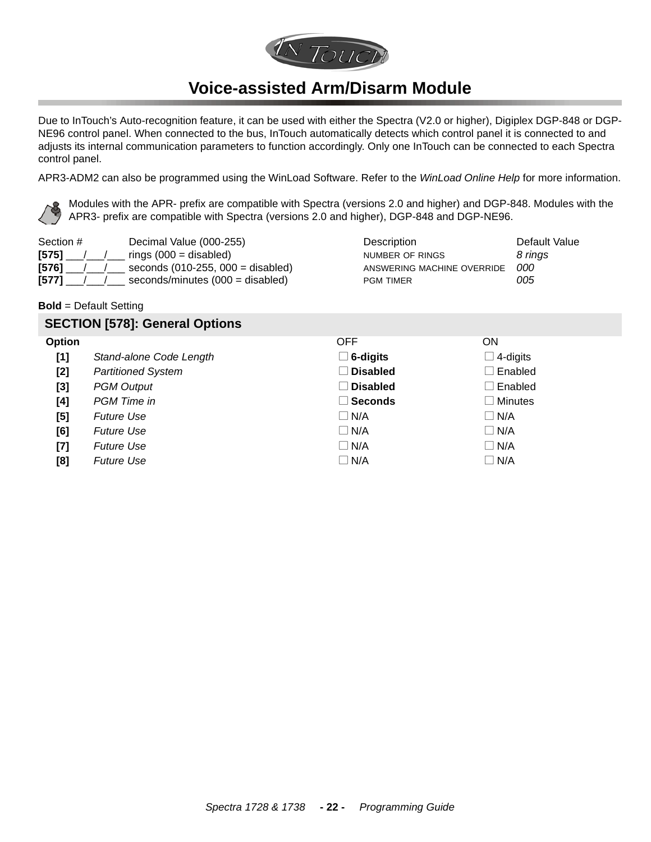

# **Voice-assisted Arm/Disarm Module**

<span id="page-21-0"></span>Due to InTouch's Auto-recognition feature, it can be used with either the Spectra (V2.0 or higher), Digiplex DGP-848 or DGP-NE96 control panel. When connected to the bus, InTouch automatically detects which control panel it is connected to and adjusts its internal communication parameters to function accordingly. Only one InTouch can be connected to each Spectra control panel.

APR3-ADM2 can also be programmed using the WinLoad Software. Refer to the *WinLoad Online Help* for more information.

Modules with the APR- prefix are compatible with Spectra (versions 2.0 and higher) and DGP-848. Modules with the APR3- prefix are compatible with Spectra (versions 2.0 and higher), DGP-848 and DGP-NE96.

| Section #   | Decimal Value (000-255)                    | <b>Description</b>         | Default Value |
|-------------|--------------------------------------------|----------------------------|---------------|
| $[575]$ / / | rings $(000 =$ disabled)                   | NUMBER OF RINGS            | 8 rings       |
| $[576]$     | seconds $(010-255, 000 =$ disabled)        | ANSWERING MACHINE OVERRIDE | 000           |
| $[577]$     | seconds/minutes $(000 = \text{disabeled})$ | <b>PGM TIMER</b>           | 005           |

#### **Bold** = Default Setting

# **SECTION [578]: General Options Option** OFF ON **[1]** Stand-alone Code Length  $\Box$  **6-digits**  $\Box$  4-digits **[2]** *Partitioned System* N **Disabled** Disabled **Disabled N** Enabled **[3]** *PGM Output* N N Disabled Disabled Disabled Disabled Disabled **[4]** *PGM Time in* N Minutes **N Minutes**  $\Box$  **Seconds**  $\Box$  Minutes **[5]** *Future Use*  $\Box$  **N/A**  $\Box$  **N/A**  $\Box$  **N/A [6]** *Future Use*  $\Box$  **N/A**  $\Box$  **N/A**  $\Box$  **N/A [7]** *Future Use*  $\Box$  **N/A**  $\Box$  **N/A**  $\Box$  **N/A [8]** *Future Use*  $\Box$  **N/A**  $\Box$  **N/A**  $\Box$  **N/A**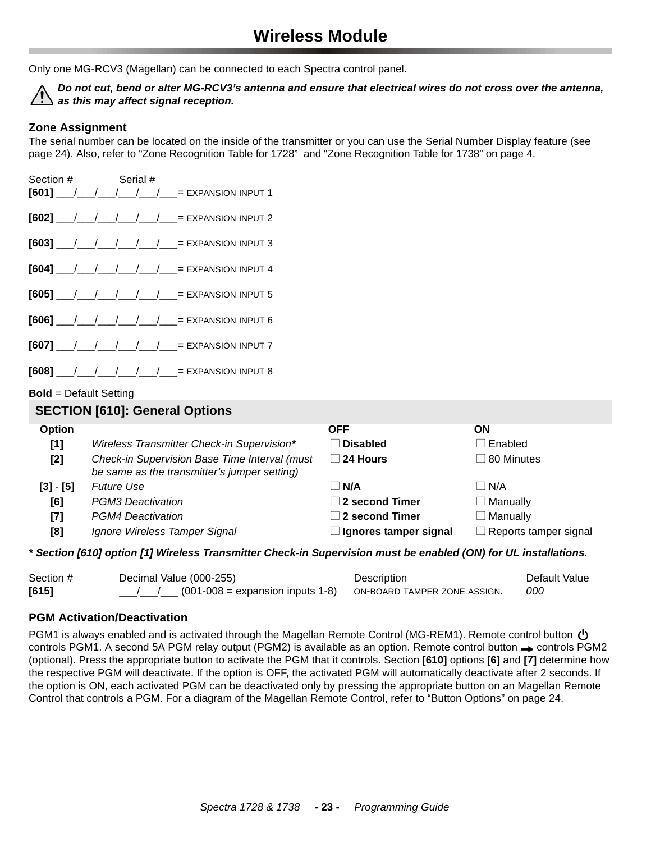<span id="page-22-0"></span>Only one MG-RCV3 (Magellan) can be connected to each Spectra control panel.

*Do not cut, bend or alter MG-RCV3's antenna and ensure that electrical wires do not cross over the antenna, as this may affect signal reception.*

### **Zone Assignment**

The serial number can be located on the inside of the transmitter or you can use the Serial Number Display feature (see page 24). Also, refer to "Zone Recognition Table for 1728" and ["Zone Recognition Table for 1738" on page 4.](#page-3-1)

| Section # Serial # |  |  |                                                                                                   |
|--------------------|--|--|---------------------------------------------------------------------------------------------------|
|                    |  |  | $[601]$ $\frac{1}{2}$ $\frac{1}{2}$ $\frac{1}{2}$ $\frac{1}{2}$ $\frac{1}{2}$ = EXPANSION INPUT 1 |
|                    |  |  | $[602]$ $\frac{1}{2}$ $\frac{1}{2}$ $\frac{1}{2}$ $\frac{1}{2}$ = EXPANSION INPUT 2               |
|                    |  |  | $[603]$ $\frac{1}{2}$ $\frac{1}{2}$ $\frac{1}{2}$ $\frac{1}{2}$ $\frac{1}{2}$ = EXPANSION INPUT 3 |
|                    |  |  | $[604]$ $\frac{1}{2}$ $\frac{1}{2}$ $\frac{1}{2}$ $\frac{1}{2}$ $\frac{1}{2}$ = EXPANSION INPUT 4 |
|                    |  |  | $[605]$ $\frac{1}{2}$ $\frac{1}{2}$ $\frac{1}{2}$ $\frac{1}{2}$ = EXPANSION INPUT 5               |
|                    |  |  | $[606]$ / / / / / / / = EXPANSION INPUT 6                                                         |
|                    |  |  | $[607]$ $\frac{1}{2}$ $\frac{1}{2}$ $\frac{1}{2}$ $\frac{1}{2}$ $\frac{1}{2}$ = EXPANSION INPUT 7 |
|                    |  |  | $[608]$ / / / / / / / = EXPANSION INPUT 8                                                         |

#### **Bold** = Default Setting

#### **SECTION [610]: General Options**

| <b>Option</b> |                                                                                               | <b>OFF</b>                  | OΝ                           |
|---------------|-----------------------------------------------------------------------------------------------|-----------------------------|------------------------------|
| [1]           | Wireless Transmitter Check-in Supervision*                                                    | <b>Disabled</b>             | ∣Enabled                     |
| [2]           | Check-in Supervision Base Time Interval (must<br>be same as the transmitter's jumper setting) | 24 Hours                    | $\Box$ 80 Minutes            |
| $[3] - [5]$   | <b>Future Use</b>                                                                             | $\overline{\mathsf{N}}$ N/A | $\neg$ N/A                   |
| [6]           | PGM3 Deactivation                                                                             | $\vert$ 2 second Timer      | $\Box$ Manually              |
| $[7]$         | <b>PGM4 Deactivation</b>                                                                      | $\Box$ 2 second Timer       | $\Box$ Manually              |
| [8]           | Ignore Wireless Tamper Signal                                                                 | Ignores tamper signal       | $\Box$ Reports tamper signal |

#### *\* Section [610] option [1] Wireless Transmitter Check-in Supervision must be enabled (ON) for UL installations.*

| Section # | Decimal Value (000-255)             | <b>Description</b>           | Default Value |
|-----------|-------------------------------------|------------------------------|---------------|
| $[615]$   | $(001-008)$ = expansion inputs 1-8) | ON-BOARD TAMPER ZONE ASSIGN. | <i>000</i>    |

#### **PGM Activation/Deactivation**

PGM1 is always enabled and is activated through the Magellan Remote Control (MG-REM1). Remote control button  $\bf{\dot{\cup}}$ controls PGM1. A second 5A PGM relay output (PGM2) is available as an option. Remote control button  $\rightarrow$  controls PGM2 (optional). Press the appropriate button to activate the PGM that it controls. Section **[610]** options **[6]** and **[7]** determine how the respective PGM will deactivate. If the option is OFF, the activated PGM will automatically deactivate after 2 seconds. If the option is ON, each activated PGM can be deactivated only by pressing the appropriate button on an Magellan Remote Control that controls a PGM. For a diagram of the Magellan Remote Control, refer to "Button Options" on page 24.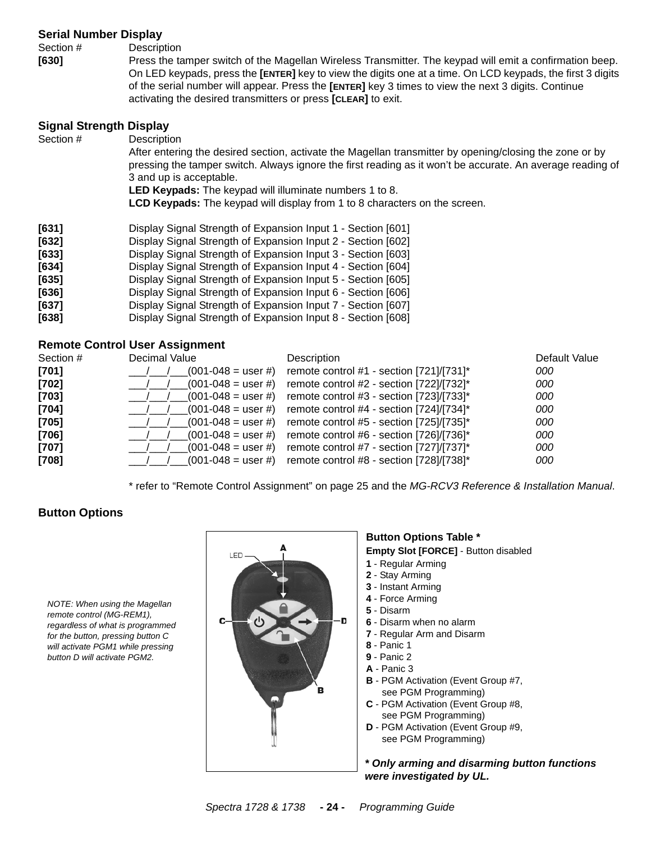#### **Serial Number Display**

Section # Description

**[630]** Press the tamper switch of the Magellan Wireless Transmitter. The keypad will emit a confirmation beep. On LED keypads, press the **[ENTER]** key to view the digits one at a time. On LCD keypads, the first 3 digits of the serial number will appear. Press the **[ENTER]** key 3 times to view the next 3 digits. Continue activating the desired transmitters or press **[CLEAR]** to exit.

#### **Signal Strength Display**

| Section # | Description<br>After entering the desired section, activate the Magellan transmitter by opening/closing the zone or by<br>pressing the tamper switch. Always ignore the first reading as it won't be accurate. An average reading of<br>3 and up is acceptable.<br><b>LED Keypads:</b> The keypad will illuminate numbers 1 to 8.<br><b>LCD Keypads:</b> The keypad will display from 1 to 8 characters on the screen. |
|-----------|------------------------------------------------------------------------------------------------------------------------------------------------------------------------------------------------------------------------------------------------------------------------------------------------------------------------------------------------------------------------------------------------------------------------|
| [631]     | Display Signal Strength of Expansion Input 1 - Section [601]                                                                                                                                                                                                                                                                                                                                                           |
| $[632]$   | Display Signal Strength of Expansion Input 2 - Section [602]                                                                                                                                                                                                                                                                                                                                                           |
| [633]     | Display Signal Strength of Expansion Input 3 - Section [603]                                                                                                                                                                                                                                                                                                                                                           |
| $[634]$   | Display Signal Strength of Expansion Input 4 - Section [604]                                                                                                                                                                                                                                                                                                                                                           |
| $[635]$   | Display Signal Strength of Expansion Input 5 - Section [605]                                                                                                                                                                                                                                                                                                                                                           |
| [636]     | Display Signal Strength of Expansion Input 6 - Section [606]                                                                                                                                                                                                                                                                                                                                                           |
| $[637]$   | Display Signal Strength of Expansion Input 7 - Section [607]                                                                                                                                                                                                                                                                                                                                                           |

**[638]** Display Signal Strength of Expansion Input 8 - Section [608]

#### **Remote Control User Assignment**

| Section # | Decimal Value           | Description                                 | Default Value |
|-----------|-------------------------|---------------------------------------------|---------------|
| $[701]$   | $(001 - 048)$ = user #) | remote control #1 - section $[721]/[731]^*$ | 000           |
| $[702]$   | $(001-048)$ = user #)   | remote control #2 - section [722]/[732]*    | 000           |
| $[703]$   | $(001-048)$ = user #)   | remote control #3 - section [723]/[733]*    | 000           |
| $[704]$   | $(001 - 048)$ = user #) | remote control #4 - section [724]/[734]*    | 000           |
| $[705]$   | $(001 - 048)$ = user #) | remote control #5 - section [725]/[735]*    | 000           |
| $[706]$   | $(001-048)$ = user #)   | remote control #6 - section [726]/[736]*    | 000           |
| $[707]$   | $(001 - 048)$ = user #) | remote control #7 - section [727]/[737]*    | 000           |
| $[708]$   | $(001 - 048 =$ user #)  | remote control #8 - section [728]/[738]*    | 000           |

\* refer to "Remote Control Assignment" on page 25 and the *MG-RCV3 Reference & Installation Manual*.

## **Button Options**

*NOTE: When using the Magellan remote control (MG-REM1), regardless of what is programmed for the button, pressing button C will activate PGM1 while pressing button D will activate PGM2.*



# **Button Options Table \***

**Empty Slot [FORCE]** - Button disabled

- **1** Regular Arming
- **2** Stay Arming
- **3** Instant Arming
- **4** Force Arming
- **5** Disarm
- **6** Disarm when no alarm
- **7**  Regular Arm and Disarm
- **8** Panic 1
- **9** Panic 2
- **A** Panic 3
- **B** PGM Activation (Event Group #7, see PGM Programming)
- **C** PGM Activation (Event Group #8, see PGM Programming)
- **D** PGM Activation (Event Group #9, see PGM Programming)

*\* Only arming and disarming button functions were investigated by UL.*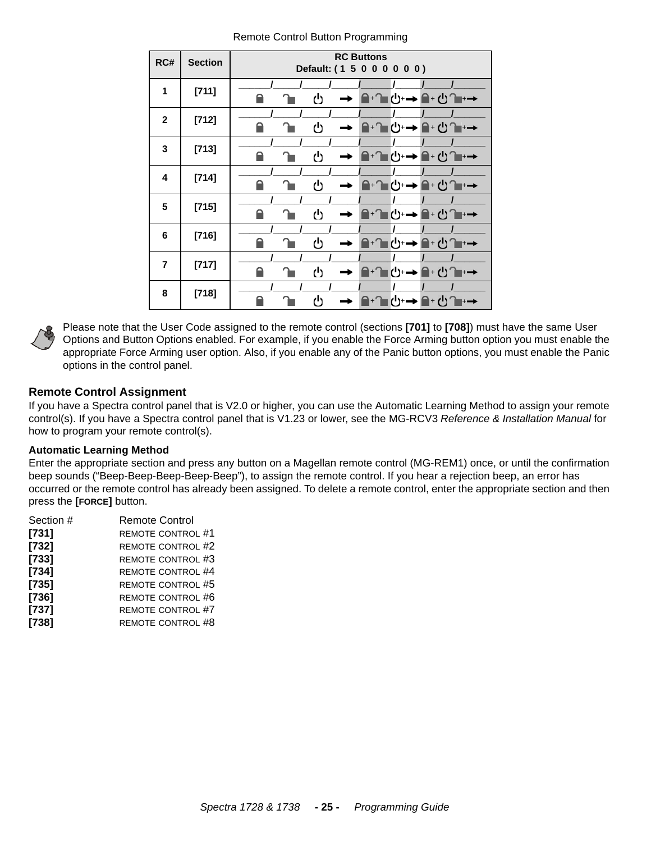| RC#            | <b>Section</b> | <b>RC Buttons</b><br>Default: (1 5 0 0 0 0 0 0)                |  |  |
|----------------|----------------|----------------------------------------------------------------|--|--|
| 1              | [711]          | ტ<br>ا ←⊩ل<br>ਿ"ਾ →<br>$\bigcap \mathbf{H} \bigcap \mathbf{H}$ |  |  |
| $\mathbf{2}$   | $[712]$        | ረካ<br>≙⊦0் ∎<br>$(') \rightarrow$<br>$\mathbf{a}$<br>⊦→        |  |  |
| 3              | $[713]$        | U<br>≙⊦ப்ி⊫→<br>৬→।<br>$\Box$                                  |  |  |
| 4              | $[714]$        | ტ<br>৬⊶<br>≙⊦∪^∎+→<br>$\mathbf{A}$                             |  |  |
| 5              | $[715]$        | ტ<br>▌᠂▔▊ᠿ <sup></sup> Ә▏▅▏▊᠂ᠿ▔▆                               |  |  |
| 6              | $[716]$        | ტ<br>ੁਿੰਦਾਂ→ਿਿੰੀ ਦ                                             |  |  |
| $\overline{7}$ | $[717]$        | ტ<br>ੁਿਿਾ ਹੈ <del>⊹→</del> ੁਿਿਾ ਾ                              |  |  |
| 8              | $[718]$        | (")<br>▌᠊᠆᠆᠆ڷ                                                  |  |  |

Remote Control Button Programming



Please note that the User Code assigned to the remote control (sections **[701]** to **[708]**) must have the same User Options and Button Options enabled. For example, if you enable the Force Arming button option you must enable the appropriate Force Arming user option. Also, if you enable any of the Panic button options, you must enable the Panic options in the control panel.

# **Remote Control Assignment**

If you have a Spectra control panel that is V2.0 or higher, you can use the Automatic Learning Method to assign your remote control(s). If you have a Spectra control panel that is V1.23 or lower, see the MG-RCV3 *Reference & Installation Manual* for how to program your remote control(s).

#### **Automatic Learning Method**

Enter the appropriate section and press any button on a Magellan remote control (MG-REM1) once, or until the confirmation beep sounds ("Beep-Beep-Beep-Beep-Beep"), to assign the remote control. If you hear a rejection beep, an error has occurred or the remote control has already been assigned. To delete a remote control, enter the appropriate section and then press the **[FORCE]** button.

| <b>Remote Control</b>    |
|--------------------------|
| <b>REMOTE CONTROL #1</b> |
| <b>REMOTE CONTROL #2</b> |
| <b>REMOTE CONTROL #3</b> |
| <b>REMOTE CONTROL #4</b> |
| <b>REMOTE CONTROL #5</b> |
| REMOTE CONTROL #6        |
| <b>REMOTE CONTROL #7</b> |
| <b>REMOTE CONTROL #8</b> |
|                          |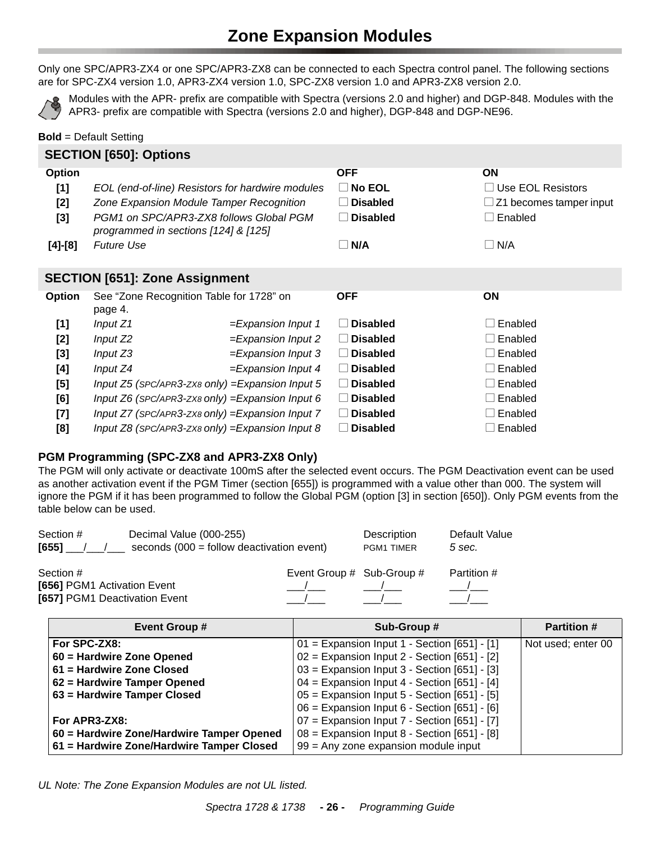# **Zone Expansion Modules**

<span id="page-25-0"></span>Only one SPC/APR3-ZX4 or one SPC/APR3-ZX8 can be connected to each Spectra control panel. The following sections are for SPC-ZX4 version 1.0, APR3-ZX4 version 1.0, SPC-ZX8 version 1.0 and APR3-ZX8 version 2.0.



Modules with the APR- prefix are compatible with Spectra (versions 2.0 and higher) and DGP-848. Modules with the APR3- prefix are compatible with Spectra (versions 2.0 and higher), DGP-848 and DGP-NE96.

#### **Bold** = Default Setting

|           | <b>SECTION [650]: Options</b>                       |                                                      |                  |                         |
|-----------|-----------------------------------------------------|------------------------------------------------------|------------------|-------------------------|
| Option    |                                                     |                                                      | <b>OFF</b>       | ON                      |
| [1]       |                                                     | EOL (end-of-line) Resistors for hardwire modules     | $\square$ No EOL | Use EOL Resistors       |
| $[2]$     |                                                     | Zone Expansion Module Tamper Recognition             | <b>Disabled</b>  | Z1 becomes tamper input |
| $[3]$     | programmed in sections [124] & [125]                | PGM1 on SPC/APR3-ZX8 follows Global PGM              | <b>Disabled</b>  | Enabled                 |
| $[4]-[8]$ | <b>Future Use</b>                                   |                                                      | $\Box$ N/A       | $\Box$ N/A              |
|           | <b>SECTION [651]: Zone Assignment</b>               |                                                      |                  |                         |
| Option    | See "Zone Recognition Table for 1728" on<br>page 4. |                                                      | <b>OFF</b>       | <b>ON</b>               |
| [1]       | Input $Z1$                                          | $=$ Expansion Input 1                                | <b>Disabled</b>  | Enabled                 |
| [2]       | Input Z2                                            | $=$ Expansion Input 2                                | $\Box$ Disabled  | Enabled                 |
| $[3]$     | Input $Z3$                                          | $=$ Expansion Input 3                                | $\Box$ Disabled  | Enabled                 |
| [4]       | Input $Z4$                                          | $=$ Expansion Input 4                                | $\Box$ Disabled  | Enabled                 |
| $[5]$     |                                                     | Input Z5 (SPC/APR3-ZX8 only) = Expansion Input 5     | <b>Disabled</b>  | Enabled                 |
| [6]       |                                                     | Input $Z6$ (SPC/APR3-ZX8 only) = Expansion Input 6   | $\Box$ Disabled  | Enabled                 |
| $[7]$     |                                                     | Input $Z7$ (SPC/APR3-ZX8 only) = Expansion Input $7$ | <b>Disabled</b>  | Enabled                 |
| [8]       |                                                     | Input $Z8$ (SPC/APR3-ZX8 only) = Expansion Input 8   | <b>Disabled</b>  | Enabled                 |

#### **PGM Programming (SPC-ZX8 and APR3-ZX8 Only)**

The PGM will only activate or deactivate 100mS after the selected event occurs. The PGM Deactivation event can be used as another activation event if the PGM Timer (section [655]) is programmed with a value other than 000. The system will ignore the PGM if it has been programmed to follow the Global PGM (option [3] in section [650]). Only PGM events from the table below can be used.

| Section #<br>[655]            | Decimal Value (000-255)<br>seconds $(000 =$ follow deactivation event) |                           | Description<br><b>PGM1 TIMER</b> | Default Value<br>5 sec. |
|-------------------------------|------------------------------------------------------------------------|---------------------------|----------------------------------|-------------------------|
| Section #                     |                                                                        | Event Group # Sub-Group # |                                  | Partition #             |
| [656] PGM1 Activation Event   |                                                                        |                           |                                  |                         |
| [657] PGM1 Deactivation Event |                                                                        |                           |                                  |                         |

| <b>Event Group #</b>                      | Sub-Group #                                    | <b>Partition #</b> |
|-------------------------------------------|------------------------------------------------|--------------------|
| For SPC-ZX8:                              | $01 =$ Expansion Input 1 - Section [651] - [1] | Not used; enter 00 |
| 60 = Hardwire Zone Opened                 | $02$ = Expansion Input 2 - Section [651] - [2] |                    |
| 61 = Hardwire Zone Closed                 | $03$ = Expansion Input 3 - Section [651] - [3] |                    |
| 62 = Hardwire Tamper Opened               | $04$ = Expansion Input 4 - Section [651] - [4] |                    |
| 63 = Hardwire Tamper Closed               | $05$ = Expansion Input 5 - Section [651] - [5] |                    |
|                                           | $06$ = Expansion Input 6 - Section [651] - [6] |                    |
| For APR3-ZX8:                             | $07$ = Expansion Input 7 - Section [651] - [7] |                    |
| 60 = Hardwire Zone/Hardwire Tamper Opened | $08$ = Expansion Input 8 - Section [651] - [8] |                    |
| 61 = Hardwire Zone/Hardwire Tamper Closed | $99$ = Any zone expansion module input         |                    |

*UL Note: The Zone Expansion Modules are not UL listed.*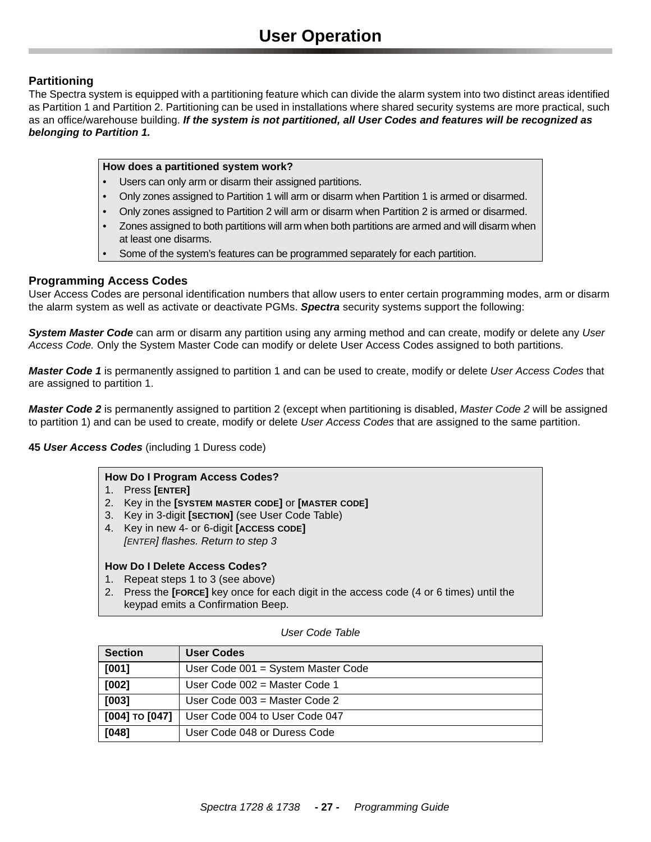## <span id="page-26-0"></span>**Partitioning**

The Spectra system is equipped with a partitioning feature which can divide the alarm system into two distinct areas identified as Partition 1 and Partition 2. Partitioning can be used in installations where shared security systems are more practical, such as an office/warehouse building. *If the system is not partitioned, all User Codes and features will be recognized as belonging to Partition 1.*

#### **How does a partitioned system work?**

- Users can only arm or disarm their assigned partitions.
- Only zones assigned to Partition 1 will arm or disarm when Partition 1 is armed or disarmed.
- Only zones assigned to Partition 2 will arm or disarm when Partition 2 is armed or disarmed.
- Zones assigned to both partitions will arm when both partitions are armed and will disarm when at least one disarms.
- Some of the system's features can be programmed separately for each partition.

#### **Programming Access Codes**

User Access Codes are personal identification numbers that allow users to enter certain programming modes, arm or disarm the alarm system as well as activate or deactivate PGMs. *Spectra* security systems support the following:

*System Master Code* can arm or disarm any partition using any arming method and can create, modify or delete any *User Access Code.* Only the System Master Code can modify or delete User Access Codes assigned to both partitions.

*Master Code 1* is permanently assigned to partition 1 and can be used to create, modify or delete *User Access Codes* that are assigned to partition 1.

*Master Code 2* is permanently assigned to partition 2 (except when partitioning is disabled, *Master Code 2* will be assigned to partition 1) and can be used to create, modify or delete *User Access Codes* that are assigned to the same partition.

#### **45** *User Access Codes* (including 1 Duress code)

#### **How Do I Program Access Codes?**

- 1. Press **[ENTER]**
- 2. Key in the **[SYSTEM MASTER CODE]** or **[MASTER CODE]**
- 3. Key in 3-digit **[SECTION]** (see User Code Table)
- 4. Key in new 4- or 6-digit **[ACCESS CODE]** *[ENTER] flashes. Return to step 3*

#### **How Do I Delete Access Codes?**

- 1. Repeat steps 1 to 3 (see above)
- 2. Press the **[FORCE]** key once for each digit in the access code (4 or 6 times) until the keypad emits a Confirmation Beep.

| <b>Section</b> | <b>User Codes</b>                  |
|----------------|------------------------------------|
| [001]          | User Code 001 = System Master Code |
| $[002]$        | User Code $002$ = Master Code 1    |
| $[003]$        | User Code $003$ = Master Code 2    |
| [004] то [047] | User Code 004 to User Code 047     |
| $[048]$        | User Code 048 or Duress Code       |

#### *User Code Table*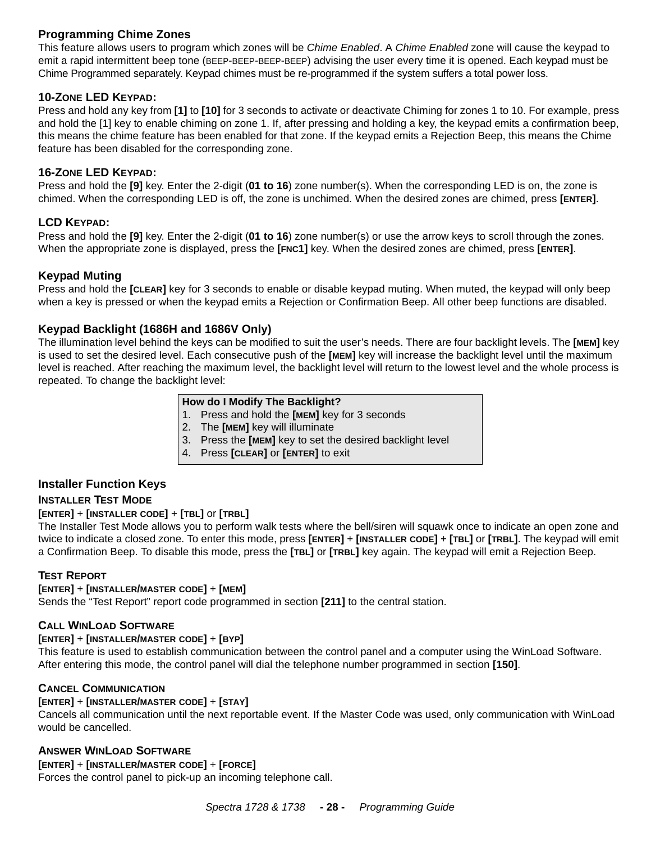# **Programming Chime Zones**

This feature allows users to program which zones will be *Chime Enabled*. A *Chime Enabled* zone will cause the keypad to emit a rapid intermittent beep tone (BEEP-BEEP-BEEP-BEEP) advising the user every time it is opened. Each keypad must be Chime Programmed separately. Keypad chimes must be re-programmed if the system suffers a total power loss.

#### **10-ZONE LED KEYPAD:**

Press and hold any key from **[1]** to **[10]** for 3 seconds to activate or deactivate Chiming for zones 1 to 10. For example, press and hold the [1] key to enable chiming on zone 1. If, after pressing and holding a key, the keypad emits a confirmation beep, this means the chime feature has been enabled for that zone. If the keypad emits a Rejection Beep, this means the Chime feature has been disabled for the corresponding zone.

#### **16-ZONE LED KEYPAD:**

Press and hold the **[9]** key. Enter the 2-digit (**01 to 16**) zone number(s). When the corresponding LED is on, the zone is chimed. When the corresponding LED is off, the zone is unchimed. When the desired zones are chimed, press **[ENTER]**.

#### **LCD KEYPAD:**

Press and hold the **[9]** key. Enter the 2-digit (**01 to 16**) zone number(s) or use the arrow keys to scroll through the zones. When the appropriate zone is displayed, press the **[FNC1]** key. When the desired zones are chimed, press **[ENTER]**.

#### **Keypad Muting**

Press and hold the **[CLEAR]** key for 3 seconds to enable or disable keypad muting. When muted, the keypad will only beep when a key is pressed or when the keypad emits a Rejection or Confirmation Beep. All other beep functions are disabled.

## **Keypad Backlight (1686H and 1686V Only)**

The illumination level behind the keys can be modified to suit the user's needs. There are four backlight levels. The **[MEM]** key is used to set the desired level. Each consecutive push of the **[MEM]** key will increase the backlight level until the maximum level is reached. After reaching the maximum level, the backlight level will return to the lowest level and the whole process is repeated. To change the backlight level:

#### **How do I Modify The Backlight?**

- 1. Press and hold the **[MEM]** key for 3 seconds
- 2. The **[MEM]** key will illuminate
- 3. Press the **[MEM]** key to set the desired backlight level
- 4. Press **[CLEAR]** or **[ENTER]** to exit

## **Installer Function Keys**

#### **INSTALLER TEST MODE**

#### **[ENTER]** + **[INSTALLER CODE]** + **[TBL]** or **[TRBL]**

The Installer Test Mode allows you to perform walk tests where the bell/siren will squawk once to indicate an open zone and twice to indicate a closed zone. To enter this mode, press **[ENTER]** + **[INSTALLER CODE]** + **[TBL]** or **[TRBL]**. The keypad will emit a Confirmation Beep. To disable this mode, press the **[TBL]** or **[TRBL]** key again. The keypad will emit a Rejection Beep.

#### **TEST REPORT**

#### **[ENTER]** + **[INSTALLER/MASTER CODE]** + **[MEM]**

Sends the "Test Report" report code programmed in section **[211]** to the central station.

#### **CALL WINLOAD SOFTWARE**

#### **[ENTER]** + **[INSTALLER/MASTER CODE]** + **[BYP]**

This feature is used to establish communication between the control panel and a computer using the WinLoad Software. After entering this mode, the control panel will dial the telephone number programmed in section **[150]**.

#### **CANCEL COMMUNICATION**

#### **[ENTER]** + **[INSTALLER/MASTER CODE]** + **[STAY]**

Cancels all communication until the next reportable event. If the Master Code was used, only communication with WinLoad would be cancelled.

#### **ANSWER WINLOAD SOFTWARE**

**[ENTER]** + **[INSTALLER/MASTER CODE]** + **[FORCE]** Forces the control panel to pick-up an incoming telephone call.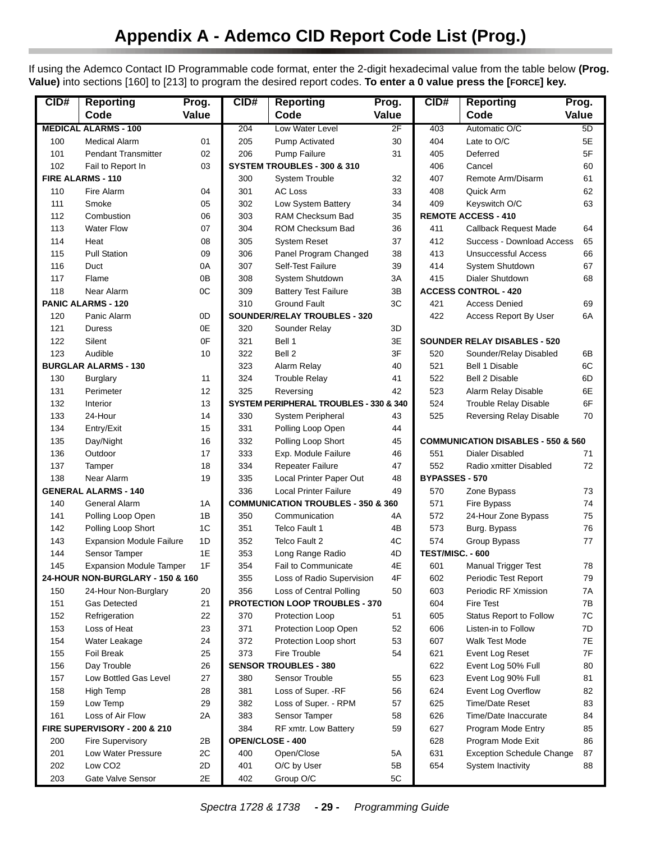<span id="page-28-0"></span>If using the Ademco Contact ID Programmable code format, enter the 2-digit hexadecimal value from the table below **(Prog. Value)** into sections [160] to [213] to program the desired report codes. **To enter a 0 value press the [FORCE] key.**

| CID#       | <b>Reporting</b>                 | Prog.    | CID#             | <b>Reporting</b>                              | Prog.    | CID#                  | <b>Reporting</b>                              | Prog.    |
|------------|----------------------------------|----------|------------------|-----------------------------------------------|----------|-----------------------|-----------------------------------------------|----------|
|            | Code                             | Value    |                  | Code                                          | Value    |                       | Code                                          | Value    |
|            | <b>MEDICAL ALARMS - 100</b>      |          | 204              | Low Water Level                               | 2F       | 403                   | Automatic O/C                                 | 5D       |
| 100        | <b>Medical Alarm</b>             | 01       | 205              | <b>Pump Activated</b>                         | 30       | 404                   | Late to O/C                                   | 5E       |
| 101        | <b>Pendant Transmitter</b>       | 02       | 206              | <b>Pump Failure</b>                           | 31       | 405                   | Deferred                                      | 5F       |
| 102        | Fail to Report In                | 03       |                  | SYSTEM TROUBLES - 300 & 310                   |          | 406                   | Cancel                                        | 60       |
|            | FIRE ALARMS - 110                |          | 300              | <b>System Trouble</b>                         | 32       | 407                   | Remote Arm/Disarm                             | 61       |
| 110        | Fire Alarm                       | 04       | 301              | <b>AC Loss</b>                                | 33       | 408                   | Quick Arm                                     | 62       |
| 111        | Smoke                            | 05       | 302              | Low System Battery                            | 34       | 409                   | Keyswitch O/C                                 | 63       |
| 112        | Combustion                       | 06       | 303              | RAM Checksum Bad                              | 35       |                       | <b>REMOTE ACCESS - 410</b>                    |          |
| 113        | <b>Water Flow</b>                | 07       | 304              | ROM Checksum Bad                              | 36       | 411                   | <b>Callback Request Made</b>                  | 64       |
| 114        | Heat                             | 08       | 305              | <b>System Reset</b>                           | 37       | 412                   | Success - Download Access                     | 65       |
| 115        | <b>Pull Station</b>              | 09       | 306              | Panel Program Changed                         | 38       | 413                   | <b>Unsuccessful Access</b>                    | 66       |
| 116        | Duct                             | 0A       | 307              | Self-Test Failure                             | 39       | 414                   | System Shutdown                               | 67       |
| 117        | Flame                            | 0B       | 308              | System Shutdown                               | 3A       | 415                   | Dialer Shutdown                               | 68       |
| 118        | Near Alarm                       | 0C       | 309              | <b>Battery Test Failure</b>                   | 3B       |                       | <b>ACCESS CONTROL - 420</b>                   |          |
|            | <b>PANIC ALARMS - 120</b>        |          | 310              | <b>Ground Fault</b>                           | 3C       | 421                   | <b>Access Denied</b>                          | 69       |
| 120        | Panic Alarm                      | 0D       |                  | <b>SOUNDER/RELAY TROUBLES - 320</b>           |          | 422                   | Access Report By User                         | 6A       |
| 121        | Duress                           | 0E<br>0F | 320              | Sounder Relay<br>Bell 1                       | 3D<br>3E |                       | <b>SOUNDER RELAY DISABLES - 520</b>           |          |
| 122<br>123 | Silent<br>Audible                |          | 321              | Bell 2                                        | 3F       | 520                   |                                               |          |
|            | <b>BURGLAR ALARMS - 130</b>      | 10       | 322<br>323       | Alarm Relay                                   | 40       | 521                   | Sounder/Relay Disabled<br>Bell 1 Disable      | 6B<br>6C |
| 130        | <b>Burglary</b>                  | 11       | 324              | <b>Trouble Relay</b>                          | 41       | 522                   | <b>Bell 2 Disable</b>                         | 6D       |
| 131        | Perimeter                        | 12       | 325              | Reversing                                     | 42       | 523                   | Alarm Relay Disable                           | 6E       |
| 132        | Interior                         | 13       |                  | SYSTEM PERIPHERAL TROUBLES - 330 & 340        |          | 524                   | Trouble Relay Disable                         | 6F       |
| 133        | 24-Hour                          | 14       | 330              | <b>System Peripheral</b>                      | 43       | 525                   | Reversing Relay Disable                       | 70       |
| 134        | Entry/Exit                       | 15       | 331              | Polling Loop Open                             | 44       |                       |                                               |          |
| 135        | Day/Night                        | 16       | 332              | Polling Loop Short                            | 45       |                       | <b>COMMUNICATION DISABLES - 550 &amp; 560</b> |          |
| 136        | Outdoor                          | 17       | 333              | Exp. Module Failure                           | 46       | 551                   | <b>Dialer Disabled</b>                        | 71       |
| 137        | Tamper                           | 18       | 334              | <b>Repeater Failure</b>                       | 47       | 552                   | Radio xmitter Disabled                        | 72       |
| 138        | Near Alarm                       | 19       | 335              | Local Printer Paper Out                       | 48       | <b>BYPASSES - 570</b> |                                               |          |
|            | <b>GENERAL ALARMS - 140</b>      |          | 336              | <b>Local Printer Failure</b>                  | 49       | 570                   | Zone Bypass                                   | 73       |
| 140        | General Alarm                    | 1 A      |                  | <b>COMMUNICATION TROUBLES - 350 &amp; 360</b> |          | 571                   | Fire Bypass                                   | 74       |
| 141        | Polling Loop Open                | 1B       | 350              | Communication                                 | 4A       | 572                   | 24-Hour Zone Bypass                           | 75       |
| 142        | Polling Loop Short               | 1C       | 351              | Telco Fault 1                                 | 4B       | 573                   | Burg. Bypass                                  | 76       |
| 143        | <b>Expansion Module Failure</b>  | 1D       | 352              | Telco Fault 2                                 | 4C       | 574                   | Group Bypass                                  | 77       |
| 144        | Sensor Tamper                    | 1E       | 353              | Long Range Radio                              | 4D       | TEST/MISC. - 600      |                                               |          |
| 145        | <b>Expansion Module Tamper</b>   | 1F       | 354              | <b>Fail to Communicate</b>                    | 4E       | 601                   | Manual Trigger Test                           | 78       |
|            | 24-HOUR NON-BURGLARY - 150 & 160 |          | 355              | Loss of Radio Supervision                     | 4F       | 602                   | Periodic Test Report                          | 79       |
| 150        | 24-Hour Non-Burglary             | 20       | 356              | Loss of Central Polling                       | 50       | 603                   | Periodic RF Xmission                          | 7A       |
| 151        | Gas Detected                     | 21       |                  | PROTECTION LOOP TROUBLES - 370                |          | 604                   | Fire Test                                     | 7B       |
| 152        | Refrigeration                    | 22       | 370              | Protection Loop                               | 51       | 605                   | Status Report to Follow                       | 7C       |
| 153        | Loss of Heat                     | 23       | 371              | Protection Loop Open                          | 52       | 606                   | Listen-in to Follow                           | 7D       |
| 154        | Water Leakage                    | 24       | 372              | Protection Loop short                         | 53       | 607                   | Walk Test Mode                                | 7E       |
| 155        | Foil Break                       | 25       | 373              | Fire Trouble                                  | 54       | 621                   | Event Log Reset                               | 7F       |
| 156        | Day Trouble                      | 26       |                  | <b>SENSOR TROUBLES - 380</b>                  |          | 622                   | Event Log 50% Full                            | 80       |
| 157        | Low Bottled Gas Level            | 27       | 380              | Sensor Trouble                                | 55       | 623                   | Event Log 90% Full                            | 81       |
| 158        | High Temp                        | 28       | 381              | Loss of Super. - RF                           | 56       | 624                   | Event Log Overflow                            | 82       |
| 159        | Low Temp                         | 29       | 382              | Loss of Super. - RPM                          | 57       | 625                   | <b>Time/Date Reset</b>                        | 83       |
| 161        | Loss of Air Flow                 | 2Α       | 383              | Sensor Tamper                                 | 58       | 626                   | Time/Date Inaccurate                          | 84       |
|            | FIRE SUPERVISORY - 200 & 210     |          | 384              | RF xmtr. Low Battery                          | 59       | 627                   | Program Mode Entry                            | 85       |
| 200        | Fire Supervisory                 | 2B       | OPEN/CLOSE - 400 |                                               |          | 628                   | Program Mode Exit                             | 86       |
| 201        | Low Water Pressure               | 2C       | 400              | Open/Close                                    | 5Α       | 631                   | <b>Exception Schedule Change</b>              | 87       |
| 202        | Low CO <sub>2</sub>              | 2D       | 401              | O/C by User                                   | 5B       | 654                   | System Inactivity                             | 88       |
| 203        | Gate Valve Sensor                | 2E       | 402              | Group O/C                                     | 5C       |                       |                                               |          |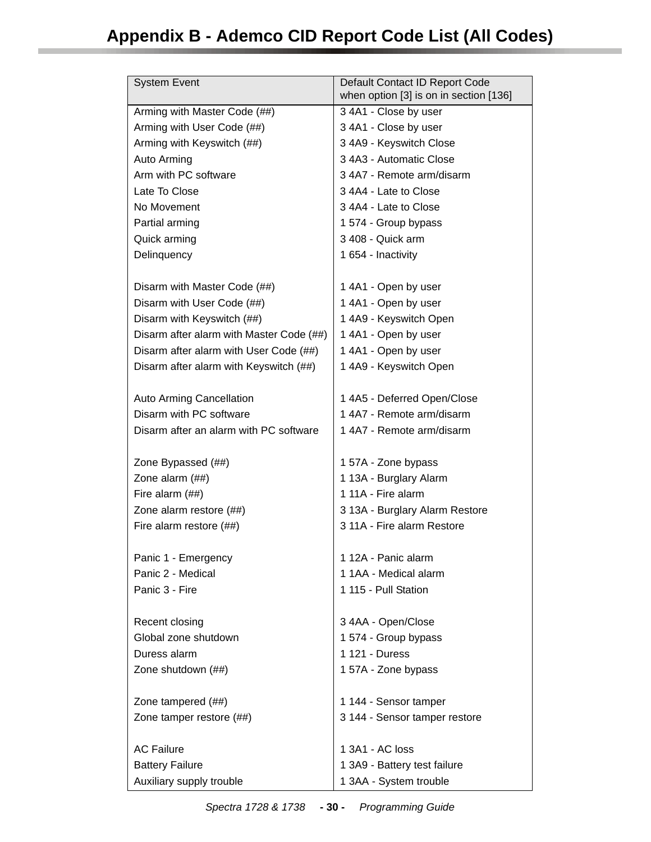<span id="page-29-0"></span>

| <b>System Event</b>                      | Default Contact ID Report Code<br>when option [3] is on in section [136] |
|------------------------------------------|--------------------------------------------------------------------------|
| Arming with Master Code (##)             | 3 4A1 - Close by user                                                    |
| Arming with User Code (##)               | 3 4A1 - Close by user                                                    |
| Arming with Keyswitch (##)               | 3 4A9 - Keyswitch Close                                                  |
| Auto Arming                              | 3 4A3 - Automatic Close                                                  |
| Arm with PC software                     | 3 4A7 - Remote arm/disarm                                                |
| Late To Close                            | 3 4A4 - Late to Close                                                    |
| No Movement                              | 3 4A4 - Late to Close                                                    |
| Partial arming                           | 1 574 - Group bypass                                                     |
| Quick arming                             | 3 408 - Quick arm                                                        |
| Delinquency                              | 1 654 - Inactivity                                                       |
|                                          |                                                                          |
| Disarm with Master Code (##)             | 1 4A1 - Open by user                                                     |
| Disarm with User Code (##)               | 1 4A1 - Open by user                                                     |
| Disarm with Keyswitch (##)               | 1 4A9 - Keyswitch Open                                                   |
| Disarm after alarm with Master Code (##) | 1 4A1 - Open by user                                                     |
| Disarm after alarm with User Code (##)   | 1 4A1 - Open by user                                                     |
| Disarm after alarm with Keyswitch (##)   | 1 4A9 - Keyswitch Open                                                   |
|                                          |                                                                          |
| <b>Auto Arming Cancellation</b>          | 1 4A5 - Deferred Open/Close                                              |
| Disarm with PC software                  | 1 4A7 - Remote arm/disarm                                                |
| Disarm after an alarm with PC software   | 1 4A7 - Remote arm/disarm                                                |
|                                          |                                                                          |
| Zone Bypassed (##)                       | 1 57A - Zone bypass                                                      |
| Zone alarm (##)                          | 1 13A - Burglary Alarm                                                   |
| Fire alarm (##)                          | 1 11A - Fire alarm                                                       |
| Zone alarm restore (##)                  | 3 13A - Burglary Alarm Restore                                           |
| Fire alarm restore (##)                  | 3 11A - Fire alarm Restore                                               |
|                                          |                                                                          |
| Panic 1 - Emergency                      | 1 12A - Panic alarm                                                      |
| Panic 2 - Medical                        | 1 1AA - Medical alarm                                                    |
| Panic 3 - Fire                           | 1 115 - Pull Station                                                     |
|                                          |                                                                          |
| Recent closing                           | 3 4AA - Open/Close                                                       |
| Global zone shutdown                     | 1 574 - Group bypass                                                     |
| Duress alarm                             | 1 121 - Duress                                                           |
| Zone shutdown (##)                       | 1 57A - Zone bypass                                                      |
|                                          |                                                                          |
| Zone tampered (##)                       | 1 144 - Sensor tamper                                                    |
| Zone tamper restore (##)                 | 3 144 - Sensor tamper restore                                            |
|                                          |                                                                          |
| <b>AC Failure</b>                        | 1 3A1 - AC loss                                                          |
| <b>Battery Failure</b>                   | 1 3A9 - Battery test failure                                             |
| Auxiliary supply trouble                 | 1 3AA - System trouble                                                   |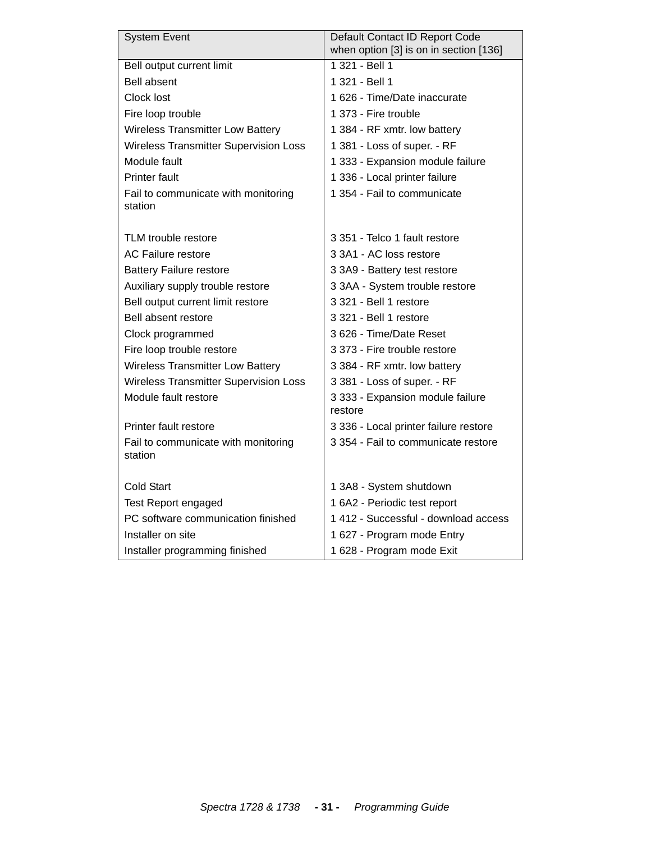| <b>System Event</b>                          | Default Contact ID Report Code         |
|----------------------------------------------|----------------------------------------|
|                                              | when option [3] is on in section [136] |
| Bell output current limit                    | 1 321 - Bell 1                         |
| <b>Bell absent</b>                           | 1 321 - Bell 1                         |
| Clock lost                                   | 1 626 - Time/Date inaccurate           |
| Fire loop trouble                            | 1 373 - Fire trouble                   |
| <b>Wireless Transmitter Low Battery</b>      | 1 384 - RF xmtr. low battery           |
| Wireless Transmitter Supervision Loss        | 1 381 - Loss of super. - RF            |
| Module fault                                 | 1 333 - Expansion module failure       |
| <b>Printer fault</b>                         | 1 336 - Local printer failure          |
| Fail to communicate with monitoring          | 1 354 - Fail to communicate            |
| station                                      |                                        |
|                                              |                                        |
| TLM trouble restore                          | 3 351 - Telco 1 fault restore          |
| <b>AC Failure restore</b>                    | 3 3A1 - AC loss restore                |
| <b>Battery Failure restore</b>               | 3 3A9 - Battery test restore           |
| Auxiliary supply trouble restore             | 3 3AA - System trouble restore         |
| Bell output current limit restore            | 3 321 - Bell 1 restore                 |
| Bell absent restore                          | 3 321 - Bell 1 restore                 |
| Clock programmed                             | 3 626 - Time/Date Reset                |
| Fire loop trouble restore                    | 3 373 - Fire trouble restore           |
| <b>Wireless Transmitter Low Battery</b>      | 3 384 - RF xmtr. low battery           |
| <b>Wireless Transmitter Supervision Loss</b> | 3 381 - Loss of super. - RF            |
| Module fault restore                         | 3 333 - Expansion module failure       |
|                                              | restore                                |
| Printer fault restore                        | 3 336 - Local printer failure restore  |
| Fail to communicate with monitoring          | 3 354 - Fail to communicate restore    |
| station                                      |                                        |
|                                              |                                        |
| <b>Cold Start</b>                            | 1 3A8 - System shutdown                |
| <b>Test Report engaged</b>                   | 1 6A2 - Periodic test report           |
| PC software communication finished           | 1 412 - Successful - download access   |
| Installer on site                            | 1 627 - Program mode Entry             |
| Installer programming finished               | 1 628 - Program mode Exit              |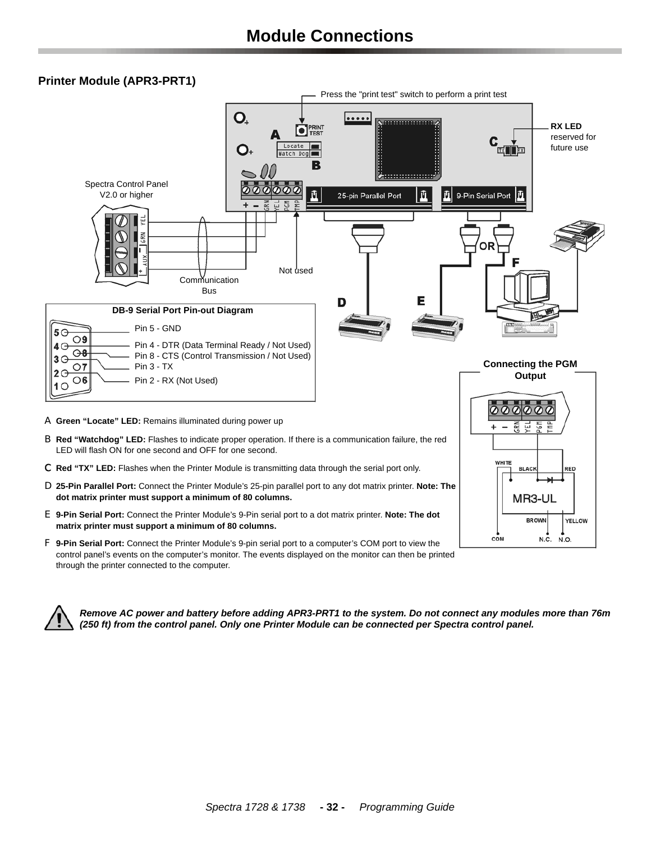#### <span id="page-31-0"></span>**Printer Module (APR3-PRT1)**



control panel's events on the computer's monitor. The events displayed on the monitor can then be printed through the printer connected to the computer.



*Remove AC power and battery before adding APR3-PRT1 to the system. Do not connect any modules more than 76m (250 ft) from the control panel. Only one Printer Module can be connected per Spectra control panel.*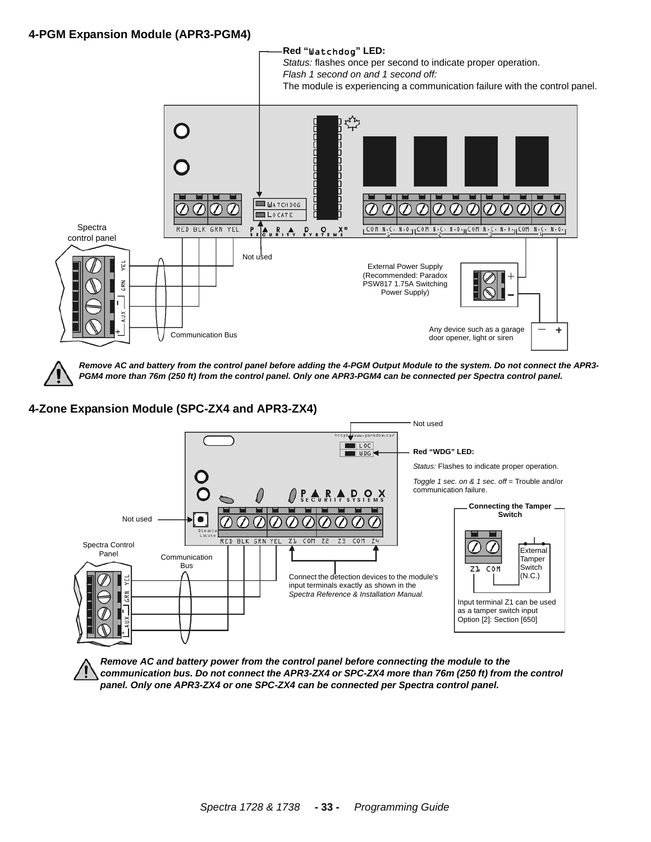### **4-PGM Expansion Module (APR3-PGM4)**



*Remove AC and battery from the control panel before adding the 4-PGM Output Module to the system. Do not connect the APR3- PGM4 more than 76m (250 ft) from the control panel. Only one APR3-PGM4 can be connected per Spectra control panel.*

## **4-Zone Expansion Module (SPC-ZX4 and APR3-ZX4)**



*Remove AC and battery power from the control panel before connecting the module to the communication bus. Do not connect the APR3-ZX4 or SPC-ZX4 more than 76m (250 ft) from the control panel. Only one APR3-ZX4 or one SPC-ZX4 can be connected per Spectra control panel.*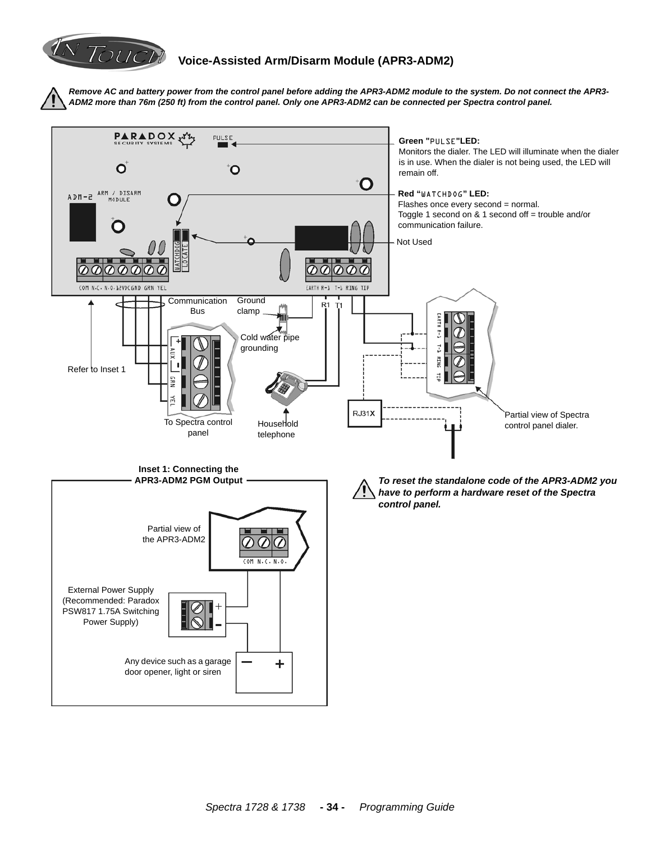

# **Voice-Assisted Arm/Disarm Module (APR3-ADM2)**

*Remove AC and battery power from the control panel before adding the APR3-ADM2 module to the system. Do not connect the APR3- ADM2 more than 76m (250 ft) from the control panel. Only one APR3-ADM2 can be connected per Spectra control panel.*

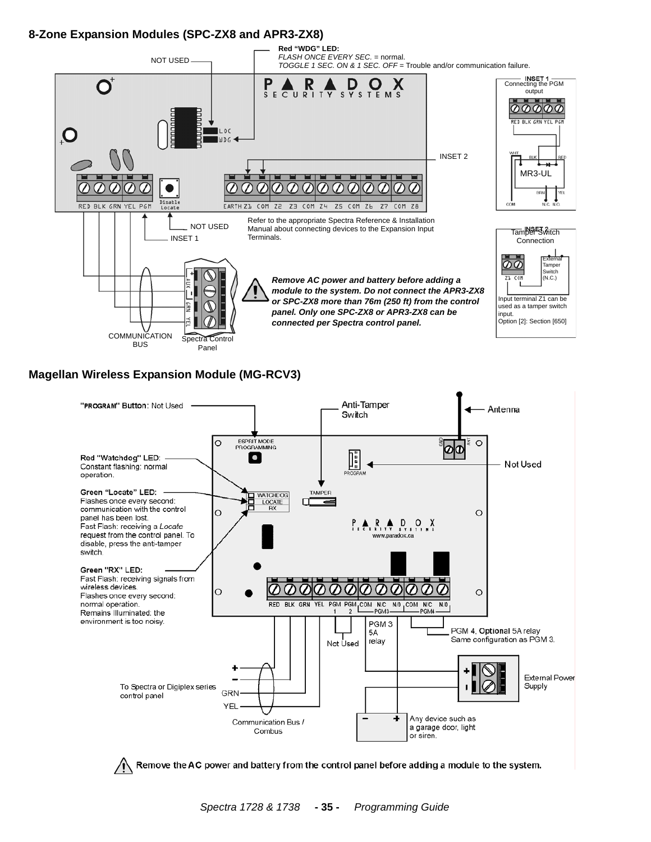# **8-Zone Expansion Modules (SPC-ZX8 and APR3-ZX8)**



#### **Magellan Wireless Expansion Module (MG-RCV3)**



*Spectra 1728 & 1738* **- 35 -** *Programming Guide*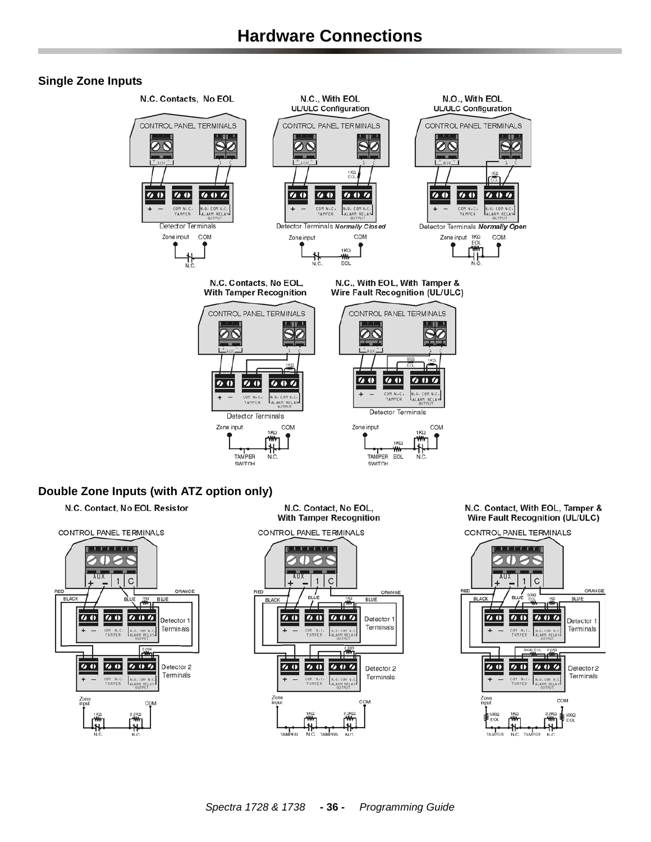#### <span id="page-35-0"></span>**Single Zone Inputs**





N.C. Contact, No EOL, **With Tamper Recognition** 



N.C. Contact, With EOL, Tamper & **Wire Fault Recognition (UL/ULC)** 

CONTROL PANEL TERMINALS

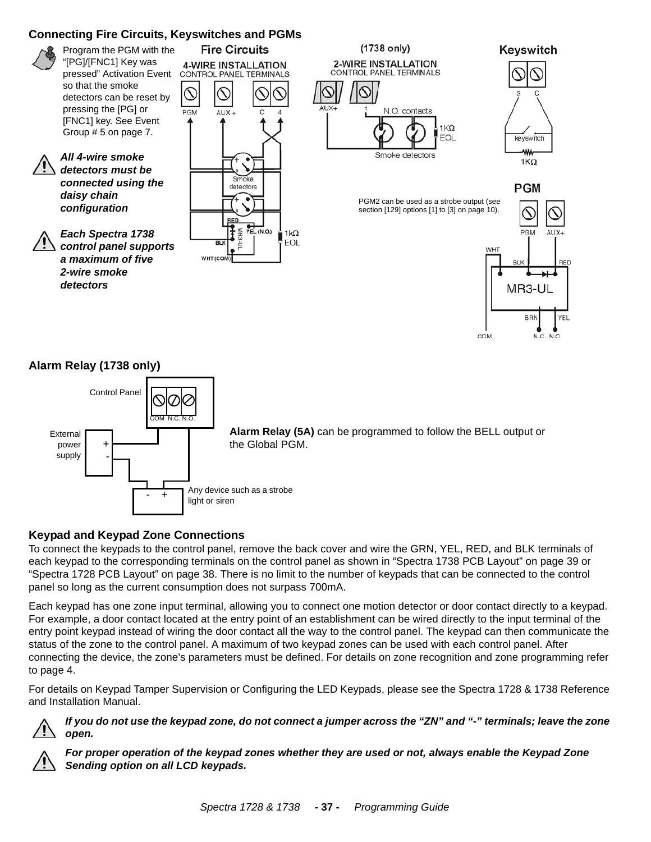# <span id="page-36-0"></span>**Connecting Fire Circuits, Keyswitches and PGMs**



Any device such as a strobe + light or siren

# **Keypad and Keypad Zone Connections**

To connect the keypads to the control panel, remove the back cover and wire the GRN, YEL, RED, and BLK terminals of each keypad to the corresponding terminals on the control panel as shown in "Spectra 1738 PCB Layout" on page 39 or ["Spectra 1728 PCB Layout" on page 38.](#page-37-0) There is no limit to the number of keypads that can be connected to the control panel so long as the current consumption does not surpass 700mA.

Each keypad has one zone input terminal, allowing you to connect one motion detector or door contact directly to a keypad. For example, a door contact located at the entry point of an establishment can be wired directly to the input terminal of the entry point keypad instead of wiring the door contact all the way to the control panel. The keypad can then communicate the status of the zone to the control panel. A maximum of two keypad zones can be used with each control panel. After connecting the device, the zone's parameters must be defined. For details on zone recognition and zone programming refer to [page 4.](#page-3-0)

For details on Keypad Tamper Supervision or Configuring the LED Keypads, please see the Spectra 1728 & 1738 Reference and Installation Manual.



<span id="page-36-1"></span>power supply  + -

*If you do not use the keypad zone, do not connect a jumper across the "ZN" and "-" terminals; leave the zone open.*



*For proper operation of the keypad zones whether they are used or not, always enable the Keypad Zone Sending option on all LCD keypads.*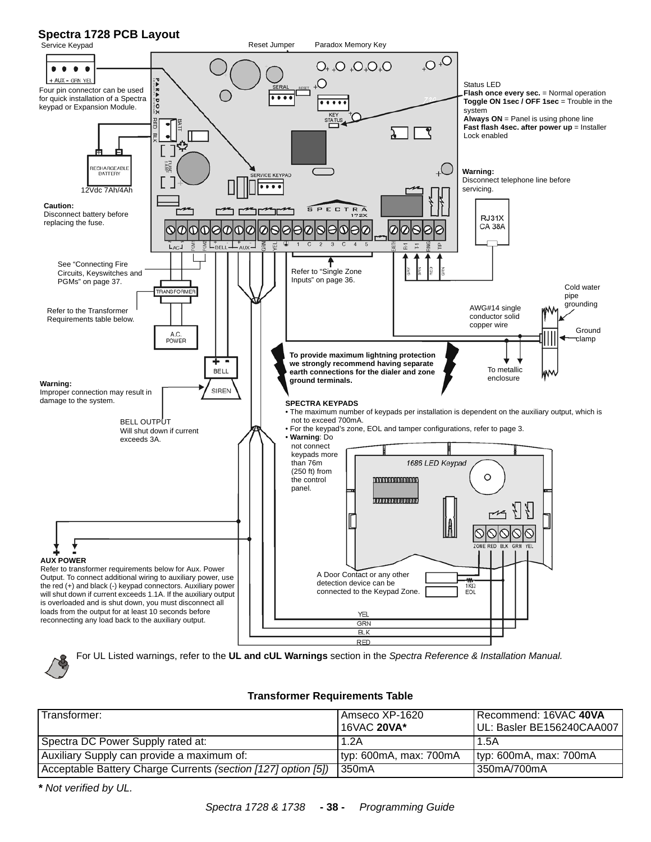# <span id="page-37-0"></span>**Spectra 1728 PCB Layout**



For UL Listed warnings, refer to the **UL and cUL Warnings** section in the *Spectra Reference & Installation Manual.*

#### **Transformer Requirements Table**

| Transformer:                                                  | I Amseco XP-1620<br>16VAC 20VA* | Recommend: 16VAC 40VA<br>UL: Basler BE156240CAA007 |
|---------------------------------------------------------------|---------------------------------|----------------------------------------------------|
| Spectra DC Power Supply rated at:                             | 1.2A                            | 1.5A                                               |
| Auxiliary Supply can provide a maximum of:                    | $ $ typ: 600mA, max: 700mA      | $ $ typ: 600mA, max: 700mA                         |
| Acceptable Battery Charge Currents (section [127] option [5]) | 1350mA                          | 350mA/700mA                                        |

*\* Not verified by UL.*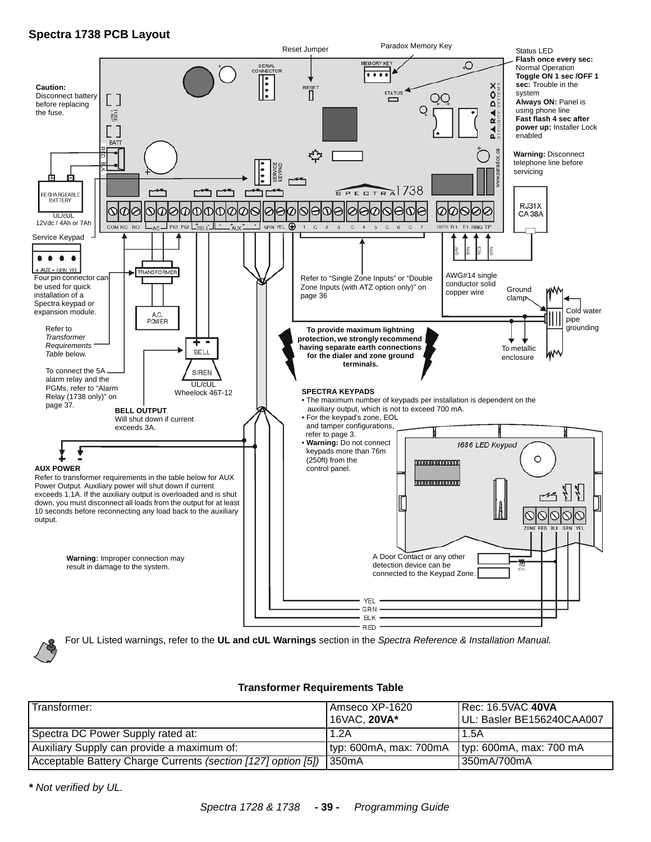# **Spectra 1738 PCB Layout**



For UL Listed warnings, refer to the **UL and cUL Warnings** section in the *Spectra Reference & Installation Manual.*

#### **Transformer Requirements Table**

| Transformer:                                                          | l Amseco XP-1620<br>16VAC, 20VA* | <b>I Rec: 16.5VAC 40VA</b><br>UL: Basler BE156240CAA007 |
|-----------------------------------------------------------------------|----------------------------------|---------------------------------------------------------|
| Spectra DC Power Supply rated at:                                     | 1.2A                             | 1.5A                                                    |
| Auxiliary Supply can provide a maximum of:                            | $ $ typ: 600mA, max: 700mA       | typ: 600mA, max: 700 mA                                 |
| Acceptable Battery Charge Currents (section [127] option [5])   350mA |                                  | l 350mA/700mA                                           |

*\* Not verified by UL.*